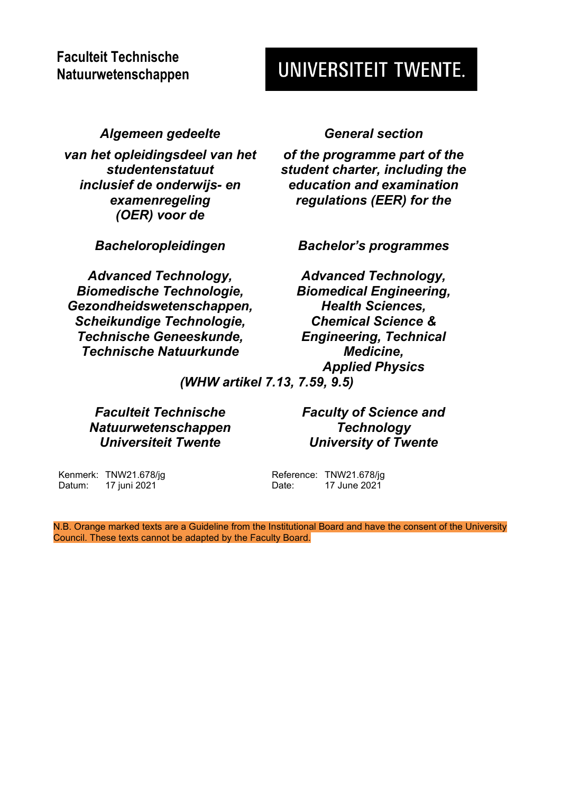# **Faculteit Technische Natuurwetenschappen**

# UNIVERSITEIT TWENTE.

*Algemeen gedeelte General section*

*van het opleidingsdeel van het studentenstatuut inclusief de onderwijs- en examenregeling (OER) voor de*

*Advanced Technology, Biomedische Technologie, Gezondheidswetenschappen, Scheikundige Technologie, Technische Geneeskunde, Technische Natuurkunde*

*of the programme part of the student charter, including the education and examination regulations (EER) for the*

*Bacheloropleidingen Bachelor's programmes*

*Advanced Technology, Biomedical Engineering, Health Sciences, Chemical Science & Engineering, Technical Medicine, Applied Physics*

*(WHW artikel 7.13, 7.59, 9.5)*

*Faculteit Technische Natuurwetenschappen Universiteit Twente*

*Faculty of Science and Technology University of Twente*

Kenmerk: TNW21.678/jg Datum: 17 juni 2021

Reference: TNW21.678/jg Date: 17 June 2021

N.B. Orange marked texts are a Guideline from the Institutional Board and have the consent of the University Council. These texts cannot be adapted by the Faculty Board.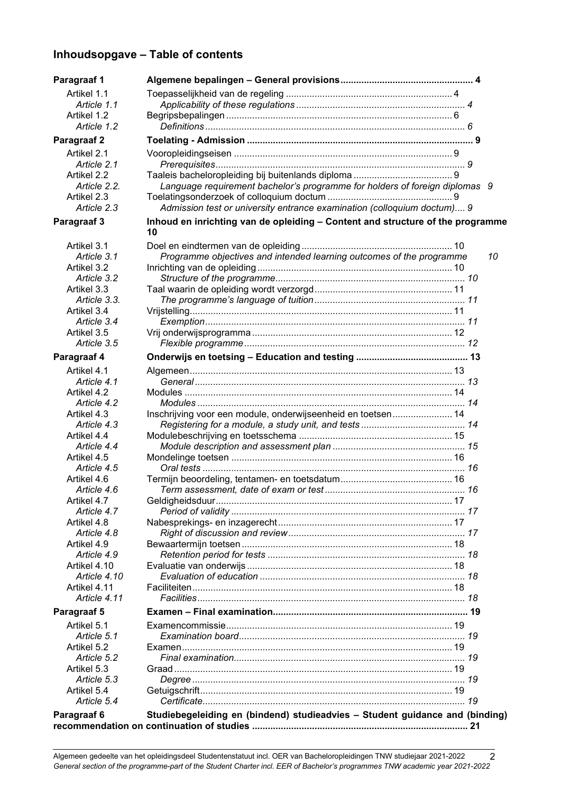## **Inhoudsopgave – Table of contents**

| Paragraaf 1                |                                                                                      |
|----------------------------|--------------------------------------------------------------------------------------|
| Artikel 1.1                |                                                                                      |
| Article 1.1                |                                                                                      |
| Artikel 1.2                |                                                                                      |
| Article 1.2                |                                                                                      |
| Paragraaf 2                |                                                                                      |
| Artikel 2.1                |                                                                                      |
| Article 2.1                |                                                                                      |
| Artikel 2.2                |                                                                                      |
| Article 2.2.               | Language requirement bachelor's programme for holders of foreign diplomas 9          |
| Artikel 2.3                |                                                                                      |
| Article 2.3                | Admission test or university entrance examination (colloquium doctum) 9              |
| Paragraaf 3                | Inhoud en inrichting van de opleiding - Content and structure of the programme<br>10 |
| Artikel 3.1                |                                                                                      |
| Article 3.1                | Programme objectives and intended learning outcomes of the programme<br>10           |
| Artikel 3.2                |                                                                                      |
| Article 3.2                |                                                                                      |
| Artikel 3.3                |                                                                                      |
| Article 3.3.               |                                                                                      |
| Artikel 3.4                |                                                                                      |
| Article 3.4                |                                                                                      |
| Artikel 3.5                |                                                                                      |
| Article 3.5                |                                                                                      |
| Paragraaf 4                |                                                                                      |
| Artikel 4.1                |                                                                                      |
| Article 4.1                |                                                                                      |
| Artikel 4.2                |                                                                                      |
| Article 4.2                |                                                                                      |
| Artikel 4.3                | Inschrijving voor een module, onderwijseenheid en toetsen 14                         |
| Article 4.3                |                                                                                      |
| Artikel 4.4                |                                                                                      |
| Article 4.4                |                                                                                      |
| Artikel 4.5                |                                                                                      |
| Article 4.5                |                                                                                      |
| Artikel 4.6                |                                                                                      |
| Article 4.6                |                                                                                      |
| Artikel 4.7                |                                                                                      |
| Article 4.7                |                                                                                      |
| Artikel 4.8                |                                                                                      |
| Article 4.8                |                                                                                      |
| Artikel 4.9<br>Article 4.9 |                                                                                      |
| Artikel 4.10               |                                                                                      |
| Article 4.10               |                                                                                      |
| Artikel 4.11               |                                                                                      |
| Article 4.11               |                                                                                      |
| <b>Paragraaf 5</b>         |                                                                                      |
|                            |                                                                                      |
| Artikel 5.1                |                                                                                      |
| Article 5.1                |                                                                                      |
| Artikel 5.2<br>Article 5.2 |                                                                                      |
| Artikel 5.3                |                                                                                      |
| Article 5.3                |                                                                                      |
| Artikel 5.4                |                                                                                      |
| Article 5.4                |                                                                                      |
| Paragraaf 6                | Studiebegeleiding en (bindend) studieadvies - Student guidance and (binding)         |
|                            |                                                                                      |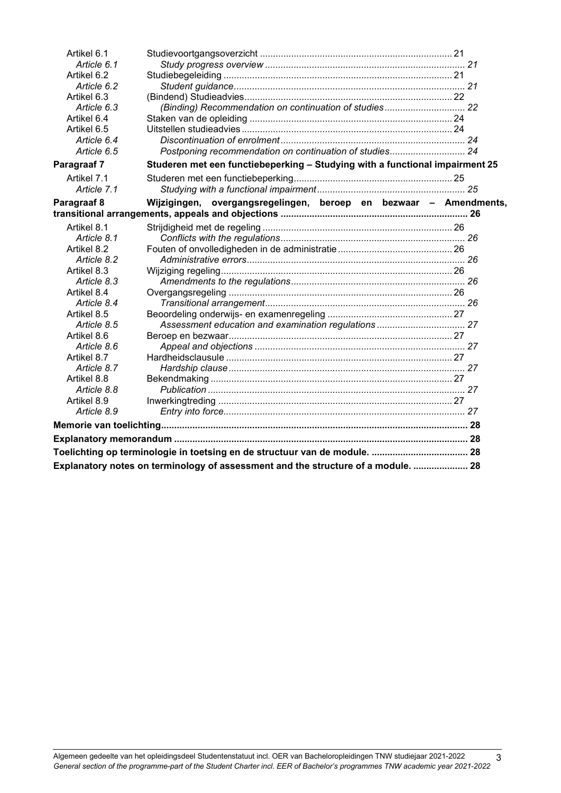| Artikel 6.1 |                                                                                   |  |
|-------------|-----------------------------------------------------------------------------------|--|
| Article 6.1 |                                                                                   |  |
| Artikel 6.2 |                                                                                   |  |
| Article 6.2 |                                                                                   |  |
| Artikel 6.3 |                                                                                   |  |
| Article 6.3 | (Binding) Recommendation on continuation of studies 22                            |  |
| Artikel 6.4 |                                                                                   |  |
| Artikel 6.5 |                                                                                   |  |
| Article 6.4 |                                                                                   |  |
| Article 6.5 | Postponing recommendation on continuation of studies 24                           |  |
| Paragraaf 7 | Studeren met een functiebeperking - Studying with a functional impairment 25      |  |
| Artikel 7.1 |                                                                                   |  |
| Article 7.1 |                                                                                   |  |
| Paragraaf 8 | Wijzigingen, overgangsregelingen, beroep en bezwaar - Amendments,                 |  |
|             |                                                                                   |  |
| Artikel 8.1 |                                                                                   |  |
| Article 8.1 |                                                                                   |  |
| Artikel 8.2 |                                                                                   |  |
| Article 8.2 |                                                                                   |  |
| Artikel 8.3 |                                                                                   |  |
| Article 8.3 |                                                                                   |  |
| Artikel 8.4 |                                                                                   |  |
| Article 8.4 |                                                                                   |  |
| Artikel 8.5 |                                                                                   |  |
| Article 8.5 |                                                                                   |  |
| Artikel 8.6 |                                                                                   |  |
| Article 8.6 |                                                                                   |  |
| Artikel 8.7 |                                                                                   |  |
| Article 8.7 |                                                                                   |  |
| Artikel 8.8 |                                                                                   |  |
| Article 8.8 |                                                                                   |  |
| Artikel 8.9 |                                                                                   |  |
| Article 8.9 |                                                                                   |  |
|             |                                                                                   |  |
|             |                                                                                   |  |
|             | Toelichting op terminologie in toetsing en de structuur van de module.  28        |  |
|             | Explanatory notes on terminology of assessment and the structure of a module.  28 |  |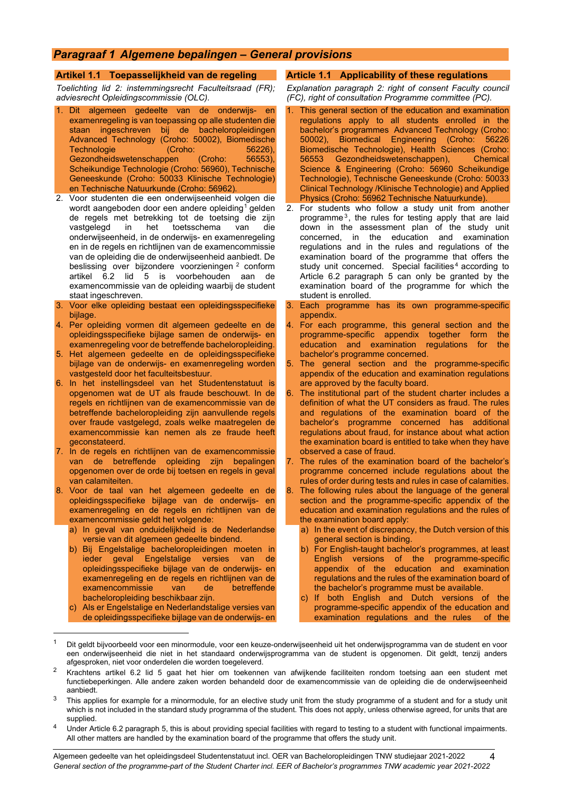## <span id="page-3-0"></span>*Paragraaf 1 Algemene bepalingen – General provisions*

#### <span id="page-3-1"></span>**Artikel 1.1 Toepasselijkheid van de regeling**

*Toelichting lid 2: instemmingsrecht Faculteitsraad (FR); adviesrecht Opleidingscommissie (OLC).*

- 1. Dit algemeen gedeelte van de onderwijs- en examenregeling is van toepassing op alle studenten die staan ingeschreven bij de bacheloropleidingen Advanced Technology (Croho: 50002), Biomedische Technologie (Croho: 56226),<br>Gezondheidswetenschappen (Croho: 56553), Gezondheidswetenschappen Scheikundige Technologie (Croho: 56960), Technische Geneeskunde (Croho: 50033 Klinische Technologie) en Technische Natuurkunde (Croho: 56962).
- 2. Voor studenten die een onderwijseenheid volgen die wordt aangeboden door een andere opleiding<sup>[1](#page-3-3)</sup> gelden de regels met betrekking tot de toetsing die zijn<br>vastgelegd in het toetsschema van die toetsschema onderwijseenheid, in de onderwijs- en examenregeling en in de regels en richtlijnen van de examencommissie van de opleiding die de onderwijseenheid aanbiedt. De beslissing over bijzondere voorzieningen [2](#page-3-4) conform artikel 6.2 lid 5 is voorbehouden aan de examencommissie van de opleiding waarbij de student staat ingeschreven.
- Voor elke opleiding bestaat een opleidingsspecifieke bijlage.
- 4. Per opleiding vormen dit algemeen gedeelte en de opleidingsspecifieke bijlage samen de onderwijs- en examenregeling voor de betreffende bacheloropleiding.
- 5. Het algemeen gedeelte en de opleidingsspecifieke bijlage van de onderwijs- en examenregeling worden vastgesteld door het faculteitsbestuur.
- 6. In het instellingsdeel van het Studentenstatuut is opgenomen wat de UT als fraude beschouwt. In de regels en richtlijnen van de examencommissie van de betreffende bacheloropleiding zijn aanvullende regels over fraude vastgelegd, zoals welke maatregelen de examencommissie kan nemen als ze fraude heeft geconstateerd.
- 7. In de regels en richtlijnen van de examencommissie van de betreffende opleiding zijn bepalingen opgenomen over de orde bij toetsen en regels in geval van calamiteiten.
- 8. Voor de taal van het algemeen gedeelte en de opleidingsspecifieke bijlage van de onderwijs- en examenregeling en de regels en richtlijnen van de examencommissie geldt het volgende:
	- a) In geval van onduidelijkheid is de Nederlandse versie van dit algemeen gedeelte bindend.
	- b) Bij Engelstalige bacheloropleidingen moeten in ieder geval Engelstalige versies van de opleidingsspecifieke bijlage van de onderwijs- en examenregeling en de regels en richtlijnen van de examencommissie van de bacheloropleiding beschikbaar zijn.
	- c) Als er Engelstalige en Nederlandstalige versies van de opleidingsspecifieke bijlage van de onderwijs- en

#### <span id="page-3-2"></span>**Article 1.1 Applicability of these regulations**

*Explanation paragraph 2: right of consent Faculty council (FC), right of consultation Programme committee (PC).*

- This general section of the education and examination regulations apply to all students enrolled in the bachelor's programmes Advanced Technology (Croho:<br>50002). Biomedical Engineering (Croho: 56226 50002), Biomedical Engineering (Croho: Biomedische Technologie), Health Sciences (Croho:<br>56553 Gezondheidswetenschappen), Chemical 56553 Gezondheidswetenschappen), Science & Engineering (Croho: 56960 Scheikundige Technologie), Technische Geneeskunde (Croho: 50033 Clinical Technology /Klinische Technologie) and Applied Physics (Croho: 56962 Technische Natuurkunde).
- 2. For students who follow a study unit from another programme<sup>[3](#page-3-5)</sup>, the rules for testing apply that are laid down in the assessment plan of the study unit concerned, in the education and examination regulations and in the rules and regulations of the examination board of the programme that offers the study unit concerned. Special facilities<sup>[4](#page-3-6)</sup> according to Article 6.2 paragraph 5 can only be granted by the examination board of the programme for which the student is enrolled.
- 3. Each programme has its own programme-specific appendix.
- 4. For each programme, this general section and the programme-specific appendix together form the<br>education and examination regulations for the education and examination regulations for bachelor's programme concerned.
- 5. The general section and the programme-specific appendix of the education and examination regulations are approved by the faculty board.
- 6. The institutional part of the student charter includes a definition of what the UT considers as fraud. The rules and regulations of the examination board of the bachelor's programme concerned has additional regulations about fraud, for instance about what action the examination board is entitled to take when they have observed a case of fraud.
- 7. The rules of the examination board of the bachelor's programme concerned include regulations about the rules of order during tests and rules in case of calamities.
- 8. The following rules about the language of the general section and the programme-specific appendix of the education and examination regulations and the rules of the examination board apply:
	- a) In the event of discrepancy, the Dutch version of this general section is binding.
	- b) For English-taught bachelor's programmes, at least English versions of the programme-specific appendix of the education and examination regulations and the rules of the examination board of the bachelor's programme must be available.
	- c) If both English and Dutch versions of the programme-specific appendix of the education and examination regulations and the rules of the

<span id="page-3-3"></span><sup>1</sup> Dit geldt bijvoorbeeld voor een minormodule, voor een keuze-onderwijseenheid uit het onderwijsprogramma van de student en voor een onderwijseenheid die niet in het standaard onderwijsprogramma van de student is opgenomen. Dit geldt, tenzij anders afgesproken, niet voor onderdelen die worden toegeleverd.

<span id="page-3-4"></span><sup>2</sup> Krachtens artikel 6.2 lid 5 gaat het hier om toekennen van afwijkende faciliteiten rondom toetsing aan een student met functiebeperkingen. Alle andere zaken worden behandeld door de examencommissie van de opleiding die de onderwijseenheid aanbiedt.

<span id="page-3-5"></span> $3$  This applies for example for a minormodule, for an elective study unit from the study programme of a student and for a study unit which is not included in the standard study programma of the student. This does not apply, unless otherwise agreed, for units that are supplied.

<span id="page-3-6"></span><sup>4</sup> Under Article 6.2 paragraph 5, this is about providing special facilities with regard to testing to a student with functional impairments. All other matters are handled by the examination board of the programme that offers the study unit.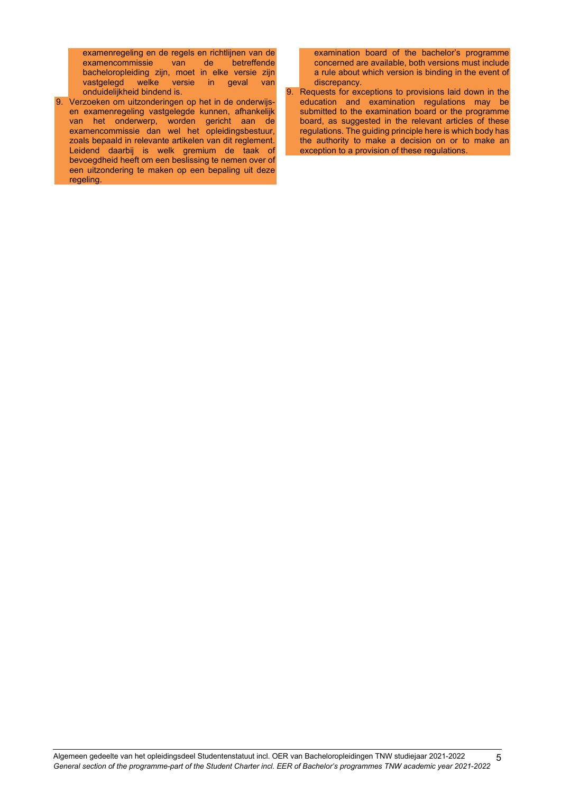examenregeling en de regels en richtlijnen van de examencommissie bacheloropleiding zijn, moet in elke versie zijn vastgelegd welke versie in geval van onduidelijkheid bindend is.

9. Verzoeken om uitzonderingen op het in de onderwijsen examenregeling vastgelegde kunnen, afhankelijk van het onderwerp, worden gericht aan de examencommissie dan wel het opleidingsbestuur, zoals bepaald in relevante artikelen van dit reglement. Leidend daarbij is welk gremium de taak of bevoegdheid heeft om een beslissing te nemen over of een uitzondering te maken op een bepaling uit deze regeling.

examination board of the bachelor's programme concerned are available, both versions must include a rule about which version is binding in the event of discrepancy.

9. Requests for exceptions to provisions laid down in the education and examination regulations may be submitted to the examination board or the programme board, as suggested in the relevant articles of these regulations. The guiding principle here is which body has the authority to make a decision on or to make an exception to a provision of these regulations.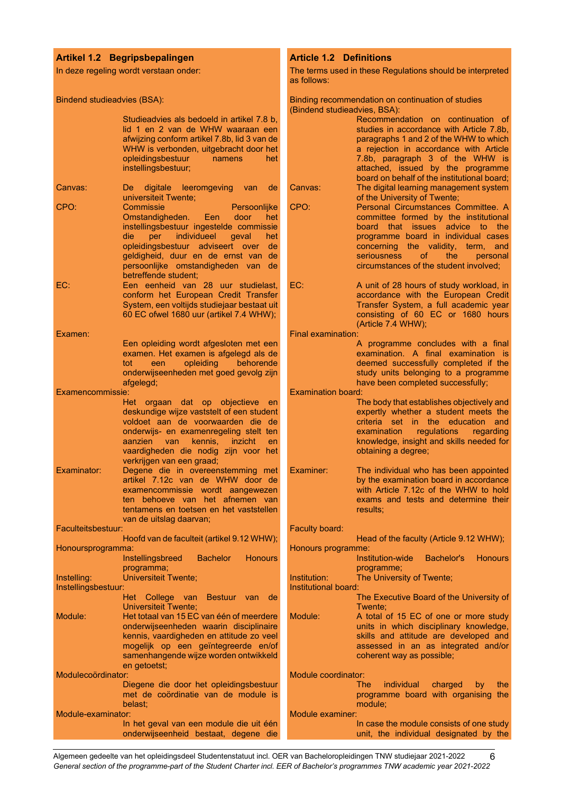#### <span id="page-5-0"></span>**Artikel 1.2 Begripsbepalingen**

In deze regeling wordt verstaan onder:

Bindend studieadvies (BSA):

Studieadvies als bedoeld in artikel 7.8 b, lid 1 en 2 van de WHW waaraan een afwijzing conform artikel 7.8b, lid 3 van de WHW is verbonden, uitgebracht door het<br>opleidingsbestuur namens het opleidingsbestuur instellingsbestuur;

- Canvas: De digitale leeromgeving van de universiteit Twente; CPO: Commissie Persoonlijke<br>Omstandigheden. Een door het Omstandigheden. Een door het instellingsbestuur ingestelde commissie die per individueel geval opleidingsbestuur adviseert over de geldigheid, duur en de ernst van de persoonlijke omstandigheden van de betreffende student; EC: Een eenheid van 28 uur studielast, conform het European Credit Transfer
- System, een voltijds studiejaar bestaat uit 60 EC ofwel 1680 uur (artikel 7.4 WHW);

Examen: Een opleiding wordt afgesloten met een examen. Het examen is afgelegd als de<br>tot een opleiding behorende een opleiding behorende onderwijseenheden met goed gevolg zijn afgelegd;

Examencommissie:

- Het orgaan dat op objectieve en deskundige wijze vaststelt of een student voldoet aan de voorwaarden die de onderwijs- en examenregeling stelt ten aanzien van kennis, inzicht en vaardigheden die nodig zijn voor het verkrijgen van een graad;
- Examinator: Degene die in overeenstemming met artikel 7.12c van de WHW door de examencommissie wordt aangewezen ten behoeve van het afnemen van tentamens en toetsen en het vaststellen van de uitslag daarvan;

Faculteitsbestuur: Hoofd van de faculteit (artikel 9.12 WHW); Honoursprogramma: Instellingsbreed Bachelor Honours programma; Instelling: Universiteit Twente; Instellingsbestuur: Het College van Bestuur van de Universiteit Twente; Module: Het totaal van 15 EC van één of meerdere onderwijseenheden waarin disciplinaire kennis, vaardigheden en attitude zo veel

mogelijk op een geïntegreerde en/of samenhangende wijze worden ontwikkeld en getoetst; Modulecoördinator: Diegene die door het opleidingsbestuur met de coördinatie van de module is belast; Module-examinator: In het geval van een module die uit één

onderwijseenheid bestaat, degene die

## <span id="page-5-1"></span>**Article 1.2 Definitions**

The terms used in these Regulations should be interpreted as follows:

| Binding recommendation on continuation of studies<br>(Bindend studieadvies, BSA): |                                                                                                                                                                                                                                                                                          |  |
|-----------------------------------------------------------------------------------|------------------------------------------------------------------------------------------------------------------------------------------------------------------------------------------------------------------------------------------------------------------------------------------|--|
|                                                                                   | Recommendation on continuation of<br>studies in accordance with Article 7.8b,<br>paragraphs 1 and 2 of the WHW to which<br>a rejection in accordance with Article<br>7.8b, paragraph 3 of the WHW is<br>attached, issued by the programme<br>board on behalf of the institutional board; |  |
| Canvas:                                                                           | The digital learning management system                                                                                                                                                                                                                                                   |  |
| CPO:                                                                              | of the University of Twente;<br>Personal Circumstances Committee. A                                                                                                                                                                                                                      |  |
|                                                                                   | committee formed by the institutional<br>board that issues advice to the<br>programme board in individual cases<br>concerning the validity, term,<br>and<br>seriousness<br>of.<br>the<br>personal<br>circumstances of the student involved;                                              |  |
| EC:                                                                               | A unit of 28 hours of study workload, in<br>accordance with the European Credit<br>Transfer System, a full academic year<br>consisting of 60 EC or 1680 hours<br>(Article 7.4 WHW);                                                                                                      |  |
| Final examination:                                                                | A programme concludes with a final                                                                                                                                                                                                                                                       |  |
|                                                                                   | examination. A final examination is<br>deemed successfully completed if the<br>study units belonging to a programme<br>have been completed successfully;                                                                                                                                 |  |
| <b>Examination board:</b>                                                         | The body that establishes objectively and<br>expertly whether a student meets the<br>the education<br>criteria set<br>$\mathsf{in}$<br>and<br>examination<br>regulations regarding<br>knowledge, insight and skills needed for<br>obtaining a degree;                                    |  |
| <b>Fxaminer:</b>                                                                  | The individual who has been appointed<br>by the examination board in accordance<br>with Article 7.12c of the WHW to hold<br>exams and tests and determine their<br>results;                                                                                                              |  |
| Faculty board:                                                                    | Head of the faculty (Article 9.12 WHW);                                                                                                                                                                                                                                                  |  |
| Honours programme:                                                                | <b>Institution-wide</b><br>Bachelor's<br><b>Honours</b>                                                                                                                                                                                                                                  |  |
| Institution:<br>Institutional board:                                              | programme;<br>The University of Twente;<br>The Executive Board of the University of                                                                                                                                                                                                      |  |
| Module:                                                                           | Twente;<br>A total of 15 EC of one or more study<br>units in which disciplinary knowledge,<br>skills and attitude are developed and<br>assessed in an as integrated and/or<br>coherent way as possible;                                                                                  |  |
| Module coordinator:                                                               | individual<br>The<br>charged<br>the<br>by<br>programme board with organising the                                                                                                                                                                                                         |  |
| Module examiner:                                                                  | module:                                                                                                                                                                                                                                                                                  |  |
|                                                                                   | In case the module consists of one study                                                                                                                                                                                                                                                 |  |

unit, the individual designated by the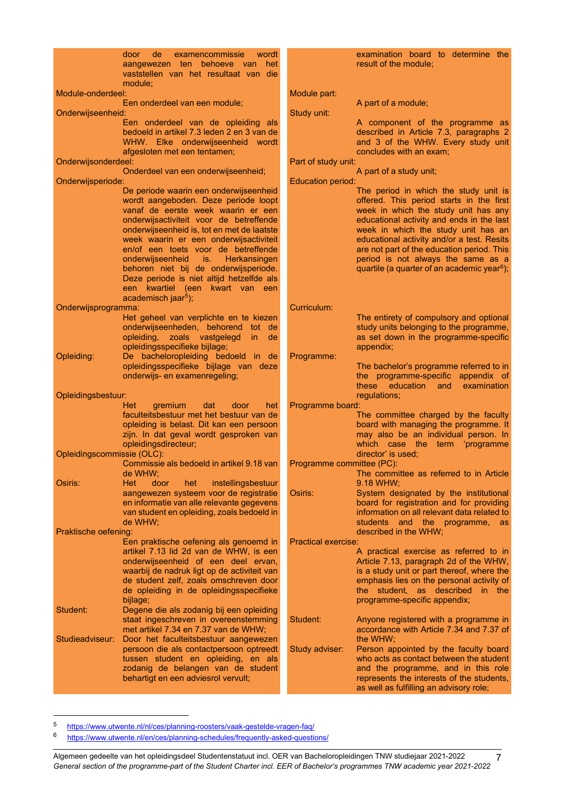|                            | door<br><sub>de</sub><br>examencommissie<br>wordt<br>aangewezen ten behoeve van<br>het<br>vaststellen van het resultaat van die |                            | examination board to determine the<br>result of the module;               |
|----------------------------|---------------------------------------------------------------------------------------------------------------------------------|----------------------------|---------------------------------------------------------------------------|
| Module-onderdeel:          | module;                                                                                                                         |                            |                                                                           |
|                            | Een onderdeel van een module;                                                                                                   | Module part:               | A part of a module;                                                       |
| Onderwijseenheid:          |                                                                                                                                 | Study unit:                |                                                                           |
|                            |                                                                                                                                 |                            |                                                                           |
|                            | Een onderdeel van de opleiding als<br>bedoeld in artikel 7.3 leden 2 en 3 van de                                                |                            | A component of the programme as<br>described in Article 7.3, paragraphs 2 |
|                            |                                                                                                                                 |                            | and 3 of the WHW. Every study unit                                        |
|                            | WHW. Elke onderwijseenheid wordt                                                                                                |                            | concludes with an exam:                                                   |
| Onderwijsonderdeel:        | afgesloten met een tentamen;                                                                                                    | Part of study unit:        |                                                                           |
|                            |                                                                                                                                 |                            |                                                                           |
| Onderwijsperiode:          | Onderdeel van een onderwijseenheid;                                                                                             | <b>Education period:</b>   | A part of a study unit;                                                   |
|                            | De periode waarin een onderwijseenheid                                                                                          |                            | The period in which the study unit is                                     |
|                            | wordt aangeboden. Deze periode loopt                                                                                            |                            | offered. This period starts in the first                                  |
|                            | vanaf de eerste week waarin er een                                                                                              |                            | week in which the study unit has any                                      |
|                            | onderwijsactiviteit voor de betreffende                                                                                         |                            | educational activity and ends in the last                                 |
|                            | onderwijseenheid is, tot en met de laatste                                                                                      |                            | week in which the study unit has an                                       |
|                            | week waarin er een onderwijsactiviteit                                                                                          |                            | educational activity and/or a test. Resits                                |
|                            | en/of een toets voor de betreffende                                                                                             |                            | are not part of the education period. This                                |
|                            | onderwijseenheid<br>Herkansingen                                                                                                |                            | period is not always the same as a                                        |
|                            | ∴ is. ⊹<br>behoren niet bij de onderwijsperiode.                                                                                |                            | quartile (a quarter of an academic year <sup>6</sup> );                   |
|                            |                                                                                                                                 |                            |                                                                           |
|                            | Deze periode is niet altijd hetzelfde als<br>een kwartiel (een kwart van een                                                    |                            |                                                                           |
|                            | academisch jaar <sup>5</sup> );                                                                                                 |                            |                                                                           |
| Onderwijsprogramma:        |                                                                                                                                 | Curriculum:                |                                                                           |
|                            | Het geheel van verplichte en te kiezen                                                                                          |                            | The entirety of compulsory and optional                                   |
|                            | onderwijseenheden, behorend tot de                                                                                              |                            | study units belonging to the programme,                                   |
|                            | opleiding, zoals vastgelegd<br>in.<br>de                                                                                        |                            | as set down in the programme-specific                                     |
|                            | opleidingsspecifieke bijlage;                                                                                                   |                            | appendix;                                                                 |
| Opleiding:                 | De bacheloropleiding bedoeld in de                                                                                              | Programme:                 |                                                                           |
|                            | opleidingsspecifieke bijlage van deze                                                                                           |                            | The bachelor's programme referred to in                                   |
|                            | onderwijs- en examenregeling;                                                                                                   |                            | the programme-specific appendix of                                        |
|                            |                                                                                                                                 |                            | these<br>education<br>examination<br>and                                  |
| Opleidingsbestuur:         |                                                                                                                                 |                            | regulations;                                                              |
|                            | Het<br>gremium<br>dat<br>door<br>het                                                                                            | Programme board:           |                                                                           |
|                            | faculteitsbestuur met het bestuur van de                                                                                        |                            | The committee charged by the faculty                                      |
|                            | opleiding is belast. Dit kan een persoon                                                                                        |                            | board with managing the programme. It                                     |
|                            | zijn. In dat geval wordt gesproken van                                                                                          |                            | may also be an individual person. In                                      |
|                            | opleidingsdirecteur;                                                                                                            |                            | which case the term 'programme                                            |
| Opleidingscommissie (OLC): |                                                                                                                                 |                            | director' is used;                                                        |
|                            | Commissie als bedoeld in artikel 9.18 van                                                                                       | Programme committee (PC):  |                                                                           |
|                            | de WHW;                                                                                                                         |                            | The committee as referred to in Article                                   |
| Osiris:                    | Het<br>door<br>het<br>instellingsbestuur                                                                                        |                            | 9.18 WHW;                                                                 |
|                            | aangewezen systeem voor de registratie                                                                                          | Osiris:                    | System designated by the institutional                                    |
|                            | en informatie van alle relevante gegevens                                                                                       |                            | board for registration and for providing                                  |
|                            | van student en opleiding, zoals bedoeld in                                                                                      |                            | information on all relevant data related to                               |
|                            | de WHW;                                                                                                                         |                            | students and the programme, as                                            |
| Praktische oefening:       |                                                                                                                                 |                            | described in the WHW;                                                     |
|                            | Een praktische oefening als genoemd in                                                                                          | <b>Practical exercise:</b> |                                                                           |
|                            | artikel 7.13 lid 2d van de WHW, is een                                                                                          |                            | A practical exercise as referred to in                                    |
|                            | onderwijseenheid of een deel ervan,                                                                                             |                            | Article 7.13, paragraph 2d of the WHW,                                    |
|                            | waarbij de nadruk ligt op de activiteit van                                                                                     |                            | is a study unit or part thereof, where the                                |
|                            | de student zelf, zoals omschreven door                                                                                          |                            | emphasis lies on the personal activity of                                 |
|                            | de opleiding in de opleidingsspecifieke                                                                                         |                            | the student, as described in the                                          |
|                            | bijlage;                                                                                                                        |                            | programme-specific appendix;                                              |
| Student:                   | Degene die als zodanig bij een opleiding                                                                                        |                            |                                                                           |
|                            | staat ingeschreven in overeenstemming                                                                                           | Student:                   | Anyone registered with a programme in                                     |
|                            | met artikel 7.34 en 7.37 van de WHW;                                                                                            |                            | accordance with Article 7.34 and 7.37 of                                  |
| Studieadviseur:            | Door het faculteitsbestuur aangewezen                                                                                           |                            | the WHW;                                                                  |
|                            | persoon die als contactpersoon optreedt                                                                                         | Study adviser:             | Person appointed by the faculty board                                     |
|                            | tussen student en opleiding, en als                                                                                             |                            | who acts as contact between the student                                   |
|                            | zodanig de belangen van de student                                                                                              |                            | and the programme, and in this role                                       |
|                            | behartigt en een adviesrol vervult;                                                                                             |                            | represents the interests of the students,                                 |
|                            |                                                                                                                                 |                            | as well as fulfilling an advisory role;                                   |
|                            |                                                                                                                                 |                            |                                                                           |

<span id="page-6-1"></span><span id="page-6-0"></span><sup>5</sup> <https://www.utwente.nl/nl/ces/planning-roosters/vaak-gestelde-vragen-faq/><br>6 https://www.utwente.nl/en/ces/planning-schedules/frequently-asked-questic

<https://www.utwente.nl/en/ces/planning-schedules/frequently-asked-questions/>

Algemeen gedeelte van het opleidingsdeel Studentenstatuut incl. OER van Bacheloropleidingen TNW studiejaar 2021-2022 *General section of the programme-part of the Student Charter incl. EER of Bachelor's programmes TNW academic year 2021-2022* 7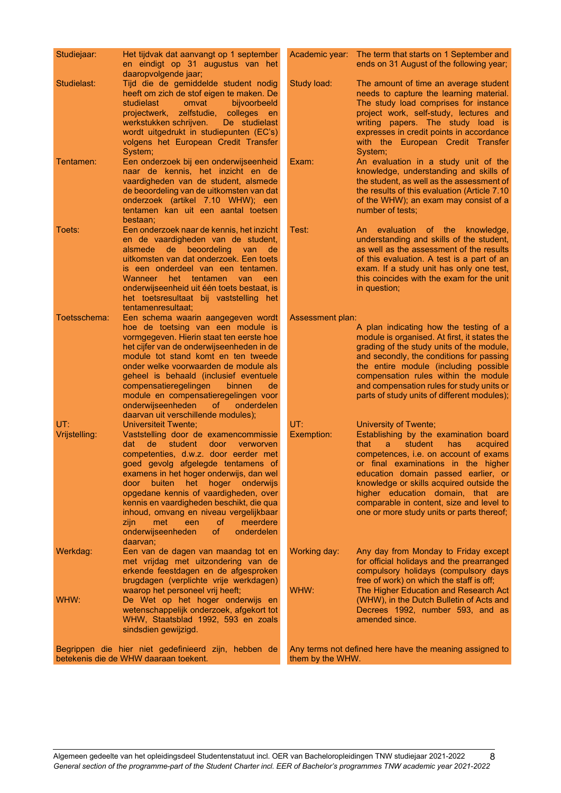| Studiejaar:          | Het tijdvak dat aanvangt op 1 september<br>en eindigt op 31 augustus van het<br>daaropvolgende jaar;                                                                                                                                                                                                                                                                                                                                                                                                                  |                      | Academic year: The term that starts on 1 September and<br>ends on 31 August of the following year;                                                                                                                                                                                                                                                                                                         |
|----------------------|-----------------------------------------------------------------------------------------------------------------------------------------------------------------------------------------------------------------------------------------------------------------------------------------------------------------------------------------------------------------------------------------------------------------------------------------------------------------------------------------------------------------------|----------------------|------------------------------------------------------------------------------------------------------------------------------------------------------------------------------------------------------------------------------------------------------------------------------------------------------------------------------------------------------------------------------------------------------------|
| Studielast:          | Tijd die de gemiddelde student nodig<br>heeft om zich de stof eigen te maken. De<br>bijvoorbeeld<br>studielast<br>omvat<br>projectwerk,<br>zelfstudie, colleges en<br>werkstukken schrijven.<br>De studielast<br>wordt uitgedrukt in studiepunten (EC's)<br>volgens het European Credit Transfer<br>System;                                                                                                                                                                                                           | Study load:          | The amount of time an average student<br>needs to capture the learning material.<br>The study load comprises for instance<br>project work, self-study, lectures and<br>writing papers. The study load is<br>expresses in credit points in accordance<br>with the European Credit Transfer<br>System;                                                                                                       |
| Tentamen:            | Een onderzoek bij een onderwijseenheid<br>naar de kennis, het inzicht en de<br>vaardigheden van de student, alsmede<br>de beoordeling van de uitkomsten van dat<br>onderzoek (artikel 7.10 WHW); een<br>tentamen kan uit een aantal toetsen<br>bestaan;                                                                                                                                                                                                                                                               | Exam:                | An evaluation in a study unit of the<br>knowledge, understanding and skills of<br>the student, as well as the assessment of<br>the results of this evaluation (Article 7.10)<br>of the WHW); an exam may consist of a<br>number of tests;                                                                                                                                                                  |
| Toets:               | Een onderzoek naar de kennis, het inzicht<br>en de vaardigheden van de student,<br>alsmede de beoordeling van<br>de<br>uitkomsten van dat onderzoek. Een toets<br>is een onderdeel van een tentamen.<br>Wanneer het tentamen van<br>een<br>onderwijseenheid uit één toets bestaat, is<br>het toetsresultaat bij vaststelling het<br>tentamenresultaat:                                                                                                                                                                | Test:                | An evaluation of the knowledge,<br>understanding and skills of the student,<br>as well as the assessment of the results<br>of this evaluation. A test is a part of an<br>exam. If a study unit has only one test,<br>this coincides with the exam for the unit<br>in question;                                                                                                                             |
| Toetsschema:         | Een schema waarin aangegeven wordt<br>hoe de toetsing van een module is<br>vormgegeven. Hierin staat ten eerste hoe<br>het cijfer van de onderwijseenheden in de<br>module tot stand komt en ten tweede<br>onder welke voorwaarden de module als<br>geheel is behaald (inclusief eventuele<br>compensatieregelingen<br>binnen<br>de<br>module en compensatieregelingen voor<br>onderwijseenheden<br>of<br>onderdelen<br>daarvan uit verschillende modules);                                                           | Assessment plan:     | A plan indicating how the testing of a<br>module is organised. At first, it states the<br>grading of the study units of the module,<br>and secondly, the conditions for passing<br>the entire module (including possible<br>compensation rules within the module<br>and compensation rules for study units or<br>parts of study units of different modules);                                               |
| UT:<br>Vrijstelling: | <b>Universiteit Twente;</b><br>Vaststelling door de examencommissie<br>de<br>student<br>door<br>dat<br>verworven<br>competenties, d.w.z. door eerder met<br>goed gevolg afgelegde tentamens of<br>examens in het hoger onderwijs, dan wel<br>hoger<br>buiten<br>het<br>onderwijs<br>door<br>opgedane kennis of vaardigheden, over<br>kennis en vaardigheden beschikt, die qua<br>inhoud, omvang en niveau vergelijkbaar<br>0f<br>meerdere<br>zijn<br>met<br>een<br>onderwijseenheden<br>of.<br>onderdelen<br>daarvan; | UT:<br>Exemption:    | University of Twente;<br>Establishing by the examination board<br>that<br>student<br>a<br>has<br>acquired<br>competences, i.e. on account of exams<br>or final examinations in the higher<br>education domain passed earlier, or<br>knowledge or skills acquired outside the<br>higher education domain, that are<br>comparable in content, size and level to<br>one or more study units or parts thereof; |
| Werkdag:<br>WHW:     | Een van de dagen van maandag tot en<br>met vrijdag met uitzondering van de<br>erkende feestdagen en de afgesproken<br>brugdagen (verplichte vrije werkdagen)<br>waarop het personeel vrij heeft;<br>De Wet op het hoger onderwijs en<br>wetenschappelijk onderzoek, afgekort tot<br>WHW, Staatsblad 1992, 593 en zoals                                                                                                                                                                                                | Working day:<br>WHW: | Any day from Monday to Friday except<br>for official holidays and the prearranged<br>compulsory holidays (compulsory days<br>free of work) on which the staff is off;<br>The Higher Education and Research Act<br>(WHW), in the Dutch Bulletin of Acts and<br>Decrees 1992, number 593, and as<br>amended since.                                                                                           |
|                      | sindsdien gewijzigd.<br>Begrippen die hier niet gedefinieerd zijn, hebben de<br>betekenis die de WHW daaraan toekent.                                                                                                                                                                                                                                                                                                                                                                                                 | them by the WHW.     | Any terms not defined here have the meaning assigned to                                                                                                                                                                                                                                                                                                                                                    |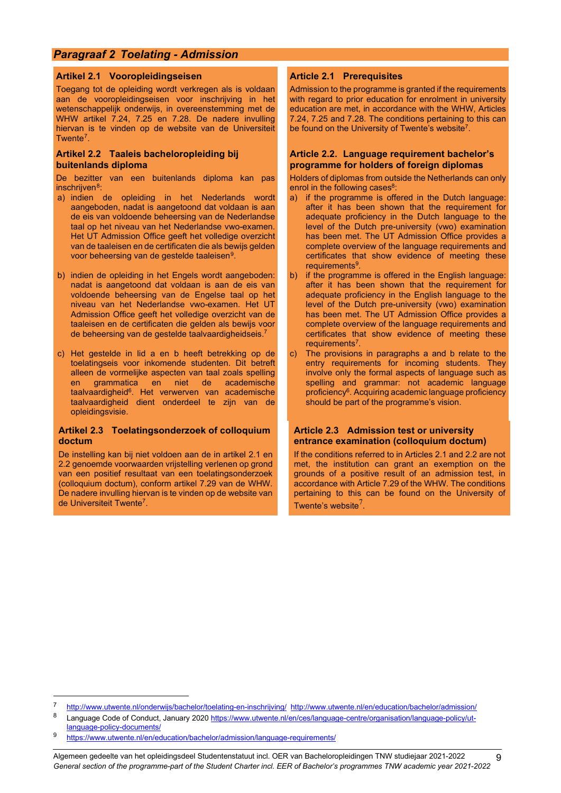## <span id="page-8-0"></span>*Paragraaf 2 Toelating - Admission*

#### <span id="page-8-1"></span>**Artikel 2.1 Vooropleidingseisen**

Toegang tot de opleiding wordt verkregen als is voldaan aan de vooropleidingseisen voor inschrijving in het wetenschappelijk onderwijs, in overeenstemming met de WHW artikel 7.24, 7.25 en 7.28. De nadere invulling hiervan is te vinden op de website van de Universiteit Twente<sup>7</sup>.

#### <span id="page-8-7"></span><span id="page-8-3"></span>**Artikel 2.2 Taaleis bacheloropleiding bij buitenlands diploma**

De bezitter van een buitenlands diploma kan pas inschrijven<sup>8</sup>:

- <span id="page-8-8"></span>a) indien de opleiding in het Nederlands wordt aangeboden, nadat is aangetoond dat voldaan is aan de eis van voldoende beheersing van de Nederlandse taal op het niveau van het Nederlandse vwo-examen. Het UT Admission Office geeft het volledige overzicht van de taaleisen en de certificaten die als bewijs gelden voor beheersing van de gestelde taaleisen[9](#page-8-12).
- b) indien de opleiding in het Engels wordt aangeboden: nadat is aangetoond dat voldaan is aan de eis van voldoende beheersing van de Engelse taal op het niveau van het Nederlandse vwo-examen. Het UT Admission Office geeft het volledige overzicht van de taaleisen en de certificaten die gelden als bewijs voor de beheersing van de gestelde taalvaardigheidseis.7
- c) Het gestelde in lid a en b heeft betrekking op de toelatingseis voor inkomende studenten. Dit betreft alleen de vormelijke aspecten van taal zoals spelling en grammatica en niet de academische taalvaardigheid<sup>6</sup>. Het verwerven van academische taalvaardigheid dient onderdeel te zijn van de opleidingsvisie.

#### <span id="page-8-5"></span>**Artikel 2.3 Toelatingsonderzoek of colloquium doctum**

De instelling kan bij niet voldoen aan de in artikel 2.1 en 2.2 genoemde voorwaarden vrijstelling verlenen op grond van een positief resultaat van een toelatingsonderzoek (colloquium doctum), conform artikel 7.29 van de WHW. De nadere invulling hiervan is te vinden op de website van de Universiteit Twent[e7.](#page-8-7)

#### <span id="page-8-2"></span>**Article 2.1 Prerequisites**

Admission to the programme is granted if the requirements with regard to prior education for enrolment in university education are met, in accordance with the WHW, Articles 7.24, 7.25 and 7.28. The conditions pertaining to this can be found on the University of Twente's website<sup>7</sup>.

#### <span id="page-8-4"></span>**Article 2.2. Language requirement bachelor's programme for holders of foreign diplomas**

Holders of diplomas from outside the Netherlands can only enrol in the following cases<sup>8</sup>:

- a) if the programme is offered in the Dutch language: after it has been shown that the requirement for adequate proficiency in the Dutch language to the level of the Dutch pre-university (vwo) examination has been met. The UT Admission Office provides a complete overview of the language requirements and certificates that show evidence of meeting these requirements<sup>9</sup>.
- <span id="page-8-9"></span>b) if the programme is offered in the English language: after it has been shown that the requirement for adequate proficiency in the English language to the level of the Dutch pre-university (vwo) examination has been met. The UT Admission Office provides a complete overview of the language requirements and certificates that show evidence of meeting these requirements<sup>7</sup>.
- The provisions in paragraphs a and b relate to the entry requirements for incoming students. They involve only the formal aspects of language such as spelling and grammar: not academic language proficiency<sup>6</sup>. Acquiring academic language proficiency should be part of the programme's vision.

#### <span id="page-8-6"></span>**Article 2.3 Admission test or university entrance examination (colloquium doctum)**

If the conditions referred to in Articles 2.1 and 2.2 are not met, the institution can grant an exemption on the grounds of a positive result of an admission test, in accordance with Article 7.29 of the WHW. The conditions pertaining to this can be found on the University of Twente's website $<sup>7</sup>$  $<sup>7</sup>$  $<sup>7</sup>$ .</sup>

<span id="page-8-11"></span><span id="page-8-10"></span><sup>7</sup> <http://www.utwente.nl/onderwijs/bachelor/toelating-en-inschrijving/><http://www.utwente.nl/en/education/bachelor/admission/><br>8 Lapquage Code of Conduct January 2020 https://www.utwente.nl/on/eec/lapquage contre/organisatio

Language Code of Conduct, January 2020 [https://www.utwente.nl/en/ces/language-centre/organisation/language-policy/ut](https://www.utwente.nl/en/ces/language-centre/organisation/language-policy/ut-language-policy-documents/)[language-policy-documents/](https://www.utwente.nl/en/ces/language-centre/organisation/language-policy/ut-language-policy-documents/)

<span id="page-8-12"></span><https://www.utwente.nl/en/education/bachelor/admission/language-requirements/>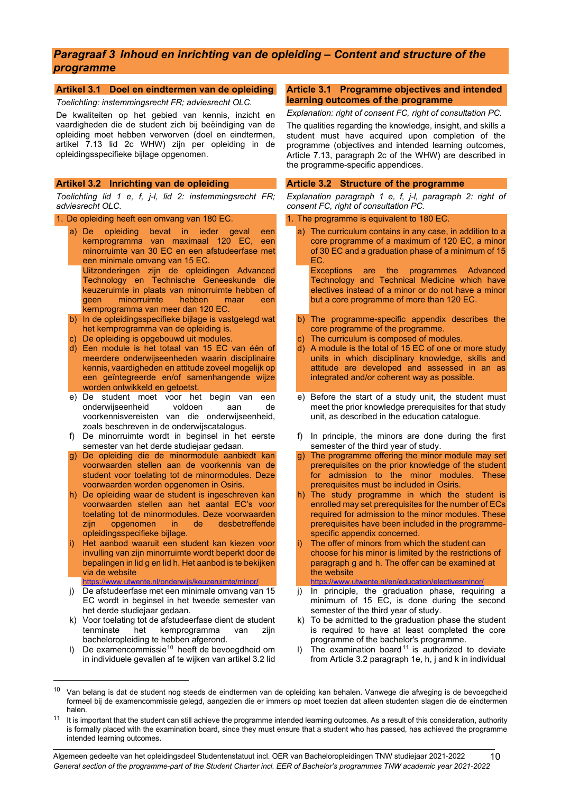## <span id="page-9-0"></span>*Paragraaf 3 Inhoud en inrichting van de opleiding – Content and structure of the programme*

#### <span id="page-9-1"></span>**Artikel 3.1 Doel en eindtermen van de opleiding**

*Toelichting: instemmingsrecht FR; adviesrecht OLC.*

De kwaliteiten op het gebied van kennis, inzicht en vaardigheden die de student zich bij beëindiging van de opleiding moet hebben verworven (doel en eindtermen, artikel 7.13 lid 2c WHW) zijn per opleiding in de opleidingsspecifieke bijlage opgenomen.

#### <span id="page-9-3"></span>**Artikel 3.2 Inrichting van de opleiding**

*Toelichting lid 1 e, f, j-l, lid 2: instemmingsrecht FR; adviesrecht OLC.*

1. De opleiding heeft een omvang van 180 EC.

- a) De opleiding bevat in ieder geval een kernprogramma van maximaal 120 EC, een minorruimte van 30 EC en een afstudeerfase met een minimale omvang van 15 EC.
	- Uitzonderingen zijn de opleidingen Advanced Technology en Technische Geneeskunde die keuzeruimte in plaats van minorruimte hebben of geen minorruimte hebben maar een kernprogramma van meer dan 120 EC.
- b) In de opleidingsspecifieke bijlage is vastgelegd wat het kernprogramma van de opleiding is.
- c) De opleiding is opgebouwd uit modules.
- d) Een module is het totaal van 15 EC van één of meerdere onderwijseenheden waarin disciplinaire kennis, vaardigheden en attitude zoveel mogelijk op een geïntegreerde en/of samenhangende wijze worden ontwikkeld en getoetst.
- e) De student moet voor het begin van een<br>onderwijseenheid voldoen aan de onderwijseenheid voorkennisvereisten van die onderwijseenheid, zoals beschreven in de onderwijscatalogus.
- f) De minorruimte wordt in beginsel in het eerste semester van het derde studiejaar gedaan.
- g) De opleiding die de minormodule aanbiedt kan voorwaarden stellen aan de voorkennis van de student voor toelating tot de minormodules. Deze voorwaarden worden opgenomen in Osiris.
- h) De opleiding waar de student is ingeschreven kan voorwaarden stellen aan het aantal EC's voor toelating tot de minormodules. Deze voorwaarden<br>zijn opgenomen in de desbetreffende zijn opgenomen in de desbetreffende opleidingsspecifieke bijlage.
- Het aanbod waaruit een student kan kiezen voor invulling van zijn minorruimte wordt beperkt door de bepalingen in lid g en lid h. Het aanbod is te bekijken via de website <https://www.utwente.nl/onderwijs/keuzeruimte/minor/>
- j) De afstudeerfase met een minimale omvang van 15 EC wordt in beginsel in het tweede semester van het derde studiejaar gedaan.
- k) Voor toelating tot de afstudeerfase dient de student tenminste het kernprogramma van zijn bacheloropleiding te hebben afgerond.
- De examencommissie<sup>[10](#page-9-5)</sup> heeft de bevoegdheid om in individuele gevallen af te wijken van artikel 3.2 lid

#### <span id="page-9-2"></span>**Article 3.1 Programme objectives and intended learning outcomes of the programme**

*Explanation: right of consent FC, right of consultation PC.* The qualities regarding the knowledge, insight, and skills a student must have acquired upon completion of the programme (objectives and intended learning outcomes, Article 7.13, paragraph 2c of the WHW) are described in the programme-specific appendices.

#### <span id="page-9-4"></span>**Article 3.2 Structure of the programme**

*Explanation paragraph 1 e, f, j-l, paragraph 2: right of consent FC, right of consultation PC.*

- 1. The programme is equivalent to 180 EC.
	- a) The curriculum contains in any case, in addition to a core programme of a maximum of 120 EC, a minor of 30 EC and a graduation phase of a minimum of 15
		- EC.<br>Exceptions are the programmes Advanced Technology and Technical Medicine which have electives instead of a minor or do not have a minor but a core programme of more than 120 EC.
	- b) The programme-specific appendix describes the core programme of the programme.
	- c) The curriculum is composed of modules.
	- A module is the total of 15 EC of one or more study units in which disciplinary knowledge, skills and attitude are developed and assessed in an as integrated and/or coherent way as possible.
	- e) Before the start of a study unit, the student must meet the prior knowledge prerequisites for that study unit, as described in the education catalogue.
	- f) In principle, the minors are done during the first semester of the third year of study.
	- The programme offering the minor module may set prerequisites on the prior knowledge of the student for admission to the minor modules. These prerequisites must be included in Osiris.
	- h) The study programme in which the student is enrolled may set prerequisites for the number of ECs required for admission to the minor modules. These prerequisites have been included in the programmespecific appendix concerned.
	- The offer of minors from which the student can choose for his minor is limited by the restrictions of paragraph g and h. The offer can be examined at the website
	- <https://www.utwente.nl/en/education/electivesminor/> j) In principle, the graduation phase, requiring a minimum of 15 EC, is done during the second
	- semester of the third year of study. k) To be admitted to the graduation phase the student is required to have at least completed the core programme of the bachelor's programme.
	- I) The examination board<sup>[11](#page-9-6)</sup> is authorized to deviate from Article 3.2 paragraph 1e, h, j and k in individual

<span id="page-9-5"></span> $10$  Van belang is dat de student nog steeds de eindtermen van de opleiding kan behalen. Vanwege die afweging is de bevoegdheid formeel bij de examencommissie gelegd, aangezien die er immers op moet toezien dat alleen studenten slagen die de eindtermen halen.

<span id="page-9-6"></span><sup>&</sup>lt;sup>11</sup> It is important that the student can still achieve the programme intended learning outcomes. As a result of this consideration, authority is formally placed with the examination board, since they must ensure that a student who has passed, has achieved the programme intended learning outcomes.

Algemeen gedeelte van het opleidingsdeel Studentenstatuut incl. OER van Bacheloropleidingen TNW studiejaar 2021-2022 *General section of the programme-part of the Student Charter incl. EER of Bachelor's programmes TNW academic year 2021-2022*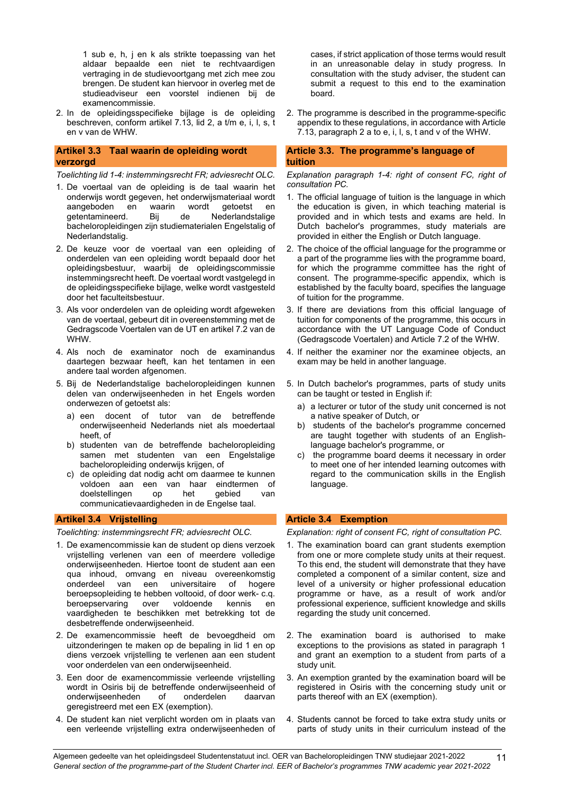1 sub e, h, j en k als strikte toepassing van het aldaar bepaalde een niet te rechtvaardigen vertraging in de studievoortgang met zich mee zou brengen. De student kan hiervoor in overleg met de studieadviseur een voorstel indienen bij de examencommissie.

2. In de opleidingsspecifieke bijlage is de opleiding beschreven, conform artikel 7.13, lid 2, a t/m e, i, l, s, t en v van de WHW.

#### <span id="page-10-0"></span>**Artikel 3.3 Taal waarin de opleiding wordt verzorgd**

*Toelichting lid 1-4: instemmingsrecht FR; adviesrecht OLC.*

- 1. De voertaal van de opleiding is de taal waarin het onderwijs wordt gegeven, het onderwijsmateriaal wordt aangeboden en waarin wordt getoetst en<br>getentamineerd. Bij de Nederlandstalige getentamineerd. Bij de Nederlandstalige bacheloropleidingen zijn studiematerialen Engelstalig of Nederlandstalig.
- 2. De keuze voor de voertaal van een opleiding of onderdelen van een opleiding wordt bepaald door het opleidingsbestuur, waarbij de opleidingscommissie instemmingsrecht heeft. De voertaal wordt vastgelegd in de opleidingsspecifieke bijlage, welke wordt vastgesteld door het faculteitsbestuur.
- 3. Als voor onderdelen van de opleiding wordt afgeweken van de voertaal, gebeurt dit in overeenstemming met de Gedragscode Voertalen van de UT en artikel 7.2 van de WHW.
- 4. Als noch de examinator noch de examinandus daartegen bezwaar heeft, kan het tentamen in een andere taal worden afgenomen.
- 5. Bij de Nederlandstalige bacheloropleidingen kunnen delen van onderwijseenheden in het Engels worden onderwezen of getoetst als:
	- a) een docent of tutor van de betreffende onderwijseenheid Nederlands niet als moedertaal heeft, of
	- b) studenten van de betreffende bacheloropleiding samen met studenten van een Engelstalige bacheloropleiding onderwijs krijgen, of
	- c) de opleiding dat nodig acht om daarmee te kunnen voldoen aan een van haar doelstellingen op het gebied van communicatievaardigheden in de Engelse taal.

#### <span id="page-10-2"></span>**Artikel 3.4 Vrijstelling**

*Toelichting: instemmingsrecht FR; adviesrecht OLC.*

- 1. De examencommissie kan de student op diens verzoek vrijstelling verlenen van een of meerdere volledige onderwijseenheden. Hiertoe toont de student aan een qua inhoud, omvang en niveau overeenkomstig onderdeel van een universitaire of hogere beroepsopleiding te hebben voltooid, of door werk- c.q.<br>beroepservaring over voldoende kennis en beroepservaring over voldoende kennis en vaardigheden te beschikken met betrekking tot de desbetreffende onderwijseenheid.
- 2. De examencommissie heeft de bevoegdheid om uitzonderingen te maken op de bepaling in lid 1 en op diens verzoek vrijstelling te verlenen aan een student voor onderdelen van een onderwijseenheid.
- 3. Een door de examencommissie verleende vrijstelling wordt in Osiris bij de betreffende onderwijseenheid of onderwijseenheden of onderdelen daarvan geregistreerd met een EX (exemption).
- 4. De student kan niet verplicht worden om in plaats van een verleende vrijstelling extra onderwijseenheden of

cases, if strict application of those terms would result in an unreasonable delay in study progress. In consultation with the study adviser, the student can submit a request to this end to the examination board.

2. The programme is described in the programme-specific appendix to these regulations, in accordance with Article 7.13, paragraph 2 a to e, i, l, s, t and v of the WHW.

#### <span id="page-10-1"></span>**Article 3.3. The programme's language of tuition**

*Explanation paragraph 1-4: right of consent FC, right of consultation PC.*

- 1. The official language of tuition is the language in which the education is given, in which teaching material is provided and in which tests and exams are held. In Dutch bachelor's programmes, study materials are provided in either the English or Dutch language.
- 2. The choice of the official language for the programme or a part of the programme lies with the programme board, for which the programme committee has the right of consent. The programme-specific appendix, which is established by the faculty board, specifies the language of tuition for the programme.
- 3. If there are deviations from this official language of tuition for components of the programme, this occurs in accordance with the UT Language Code of Conduct (Gedragscode Voertalen) and Article 7.2 of the WHW.
- 4. If neither the examiner nor the examinee objects, an exam may be held in another language.
- 5. In Dutch bachelor's programmes, parts of study units can be taught or tested in English if:
	- a) a lecturer or tutor of the study unit concerned is not a native speaker of Dutch, or
	- b) students of the bachelor's programme concerned are taught together with students of an Englishlanguage bachelor's programme, or
	- c) the programme board deems it necessary in order to meet one of her intended learning outcomes with regard to the communication skills in the English language.

#### <span id="page-10-3"></span>**Article 3.4 Exemption**

*Explanation: right of consent FC, right of consultation PC.*

- 1. The examination board can grant students exemption from one or more complete study units at their request. To this end, the student will demonstrate that they have completed a component of a similar content, size and level of a university or higher professional education programme or have, as a result of work and/or professional experience, sufficient knowledge and skills regarding the study unit concerned.
- 2. The examination board is authorised to make exceptions to the provisions as stated in paragraph 1 and grant an exemption to a student from parts of a study unit.
- 3. An exemption granted by the examination board will be registered in Osiris with the concerning study unit or parts thereof with an EX (exemption).
- 4. Students cannot be forced to take extra study units or parts of study units in their curriculum instead of the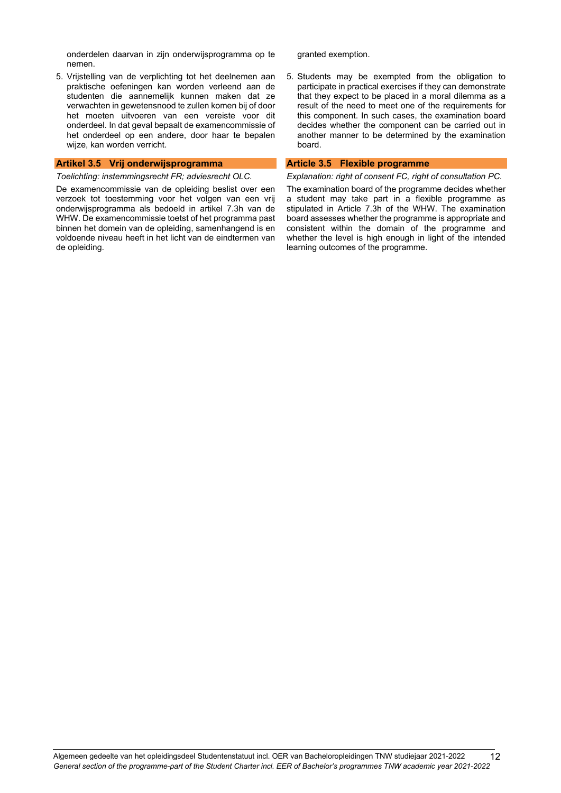onderdelen daarvan in zijn onderwijsprogramma op te nemen.

5. Vrijstelling van de verplichting tot het deelnemen aan praktische oefeningen kan worden verleend aan de studenten die aannemelijk kunnen maken dat ze verwachten in gewetensnood te zullen komen bij of door het moeten uitvoeren van een vereiste voor dit onderdeel. In dat geval bepaalt de examencommissie of het onderdeel op een andere, door haar te bepalen wijze, kan worden verricht.

#### <span id="page-11-0"></span>**Artikel 3.5 Vrij onderwijsprogramma**

*Toelichting: instemmingsrecht FR; adviesrecht OLC.*

De examencommissie van de opleiding beslist over een verzoek tot toestemming voor het volgen van een vrij onderwijsprogramma als bedoeld in artikel 7.3h van de WHW. De examencommissie toetst of het programma past binnen het domein van de opleiding, samenhangend is en voldoende niveau heeft in het licht van de eindtermen van de opleiding.

granted exemption.

5. Students may be exempted from the obligation to participate in practical exercises if they can demonstrate that they expect to be placed in a moral dilemma as a result of the need to meet one of the requirements for this component. In such cases, the examination board decides whether the component can be carried out in another manner to be determined by the examination board.

#### <span id="page-11-1"></span>**Article 3.5 Flexible programme**

*Explanation: right of consent FC, right of consultation PC.*

The examination board of the programme decides whether a student may take part in a flexible programme as stipulated in Article 7.3h of the WHW. The examination board assesses whether the programme is appropriate and consistent within the domain of the programme and whether the level is high enough in light of the intended learning outcomes of the programme.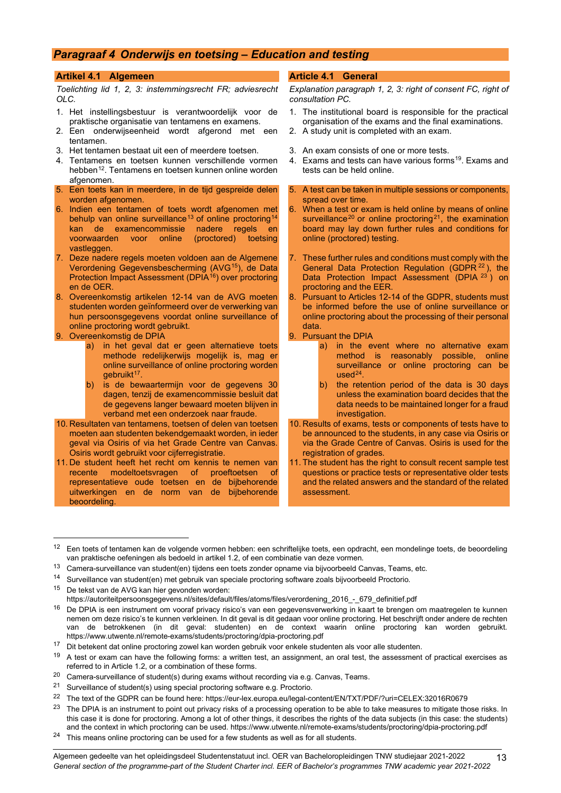## <span id="page-12-0"></span>*Paragraaf 4 Onderwijs en toetsing – Education and testing*

#### <span id="page-12-1"></span>**Artikel 4.1 Algemeen**

*Toelichting lid 1, 2, 3: instemmingsrecht FR; adviesrecht OLC.*

- 1. Het instellingsbestuur is verantwoordelijk voor de praktische organisatie van tentamens en examens.
- 2. Een onderwijseenheid wordt afgerond met een tentamen.
- 3. Het tentamen bestaat uit een of meerdere toetsen.
- 4. Tentamens en toetsen kunnen verschillende vormen hebben<sup>[12](#page-12-3)</sup>. Tentamens en toetsen kunnen online worden afgenomen.
- 5. Een toets kan in meerdere, in de tijd gespreide delen worden afgenomen.
- 6. Indien een tentamen of toets wordt afgenomen met behulp van online surveillance<sup>[13](#page-12-4)</sup> of online proctoring<sup>[14](#page-12-5)</sup> kan de examencommissie nadere regels en<br>voorwaarden voor online (proctored) toetsing voor online vastleggen.
- 7. Deze nadere regels moeten voldoen aan de Algemene Verordening Gegevensbescherming (AVG[15](#page-12-6)), de Data Protection Impact Assessment (DPIA<sup>[16](#page-12-7)</sup>) over proctoring en de OER.
- 8. Overeenkomstig artikelen 12-14 van de AVG moeten studenten worden geïnformeerd over de verwerking van hun persoonsgegevens voordat online surveillance of online proctoring wordt gebruikt.
- 9. Overeenkomstig de DPIA
	- a) in het geval dat er geen alternatieve toets methode redelijkerwijs mogelijk is, mag er online surveillance of online proctoring worden gebruikt<sup>17</sup>.
	- b) is de bewaartermijn voor de gegevens 30 dagen, tenzij de examencommissie besluit dat de gegevens langer bewaard moeten blijven in verband met een onderzoek naar fraude.
- 10. Resultaten van tentamens, toetsen of delen van toetsen moeten aan studenten bekendgemaakt worden, in ieder geval via Osiris of via het Grade Centre van Canvas. Osiris wordt gebruikt voor cijferregistratie.
- 11. De student heeft het recht om kennis te nemen van recente modeltoetsvragen of proeftoetsen of representatieve oude toetsen en de bijbehorende uitwerkingen en de norm van de bijbehorende beoordeling.

#### <span id="page-12-2"></span>**Article 4.1 General**

*Explanation paragraph 1, 2, 3: right of consent FC, right of consultation PC.*

- 1. The institutional board is responsible for the practical organisation of the exams and the final examinations.
- 2. A study unit is completed with an exam.
- 3. An exam consists of one or more tests.
- 4. Exams and tests can have various forms<sup>19</sup>. Exams and tests can be held online.
- A test can be taken in multiple sessions or components, spread over time.
- 6. When a test or exam is held online by means of online surveillance<sup>[20](#page-12-10)</sup> or online proctoring<sup>[21](#page-12-11)</sup>, the examination board may lay down further rules and conditions for online (proctored) testing.
- 7. These further rules and conditions must comply with the General Data Protection Regulation (GDPR [22](#page-12-12) ), the Data Protection Impact Assessment (DPIA <sup>[23](#page-12-13)</sup>) on proctoring and the EER.
- 8. Pursuant to Articles 12-14 of the GDPR, students must be informed before the use of online surveillance or online proctoring about the processing of their personal data.
- 9. Pursuant the DPIA
	- a) in the event where no alternative exam method is reasonably possible, online surveillance or online proctoring can be  $used<sup>24</sup>$ .
	- b) the retention period of the data is 30 days unless the examination board decides that the data needs to be maintained longer for a fraud investigation.
- 10. Results of exams, tests or components of tests have to be announced to the students, in any case via Osiris or via the Grade Centre of Canvas. Osiris is used for the registration of grades.
- 11. The student has the right to consult recent sample test questions or practice tests or representative older tests and the related answers and the standard of the related assessment.

- <span id="page-12-11"></span><span id="page-12-10"></span>20 Camera-surveillance of student(s) during exams without recording via e.g. Canvas, Teams.<br>21 Surveillance of student(s) using special prostering software a g. Prosterio.
- Surveillance of student(s) using special proctoring software e.g. Proctorio.

<span id="page-12-3"></span><sup>12</sup> Een toets of tentamen kan de volgende vormen hebben: een schriftelijke toets, een opdracht, een mondelinge toets, de beoordeling van praktische oefeningen als bedoeld in artikel 1.2, of een combinatie van deze vormen.

<span id="page-12-4"></span><sup>&</sup>lt;sup>13</sup> Camera-surveillance van student(en) tijdens een toets zonder opname via bijvoorbeeld Canvas, Teams, etc.

<span id="page-12-5"></span><sup>14</sup> Surveillance van student(en) met gebruik van speciale proctoring software zoals bijvoorbeeld Proctorio.

<span id="page-12-6"></span><sup>15</sup> De tekst van de AVG kan hier gevonden worden:

[https://autoriteitpersoonsgegevens.nl/sites/default/files/atoms/files/verordening\\_2016\\_-\\_679\\_definitief.pdf](https://autoriteitpersoonsgegevens.nl/sites/default/files/atoms/files/verordening_2016_-_679_definitief.pdf)

<span id="page-12-7"></span><sup>16</sup> De DPIA is een instrument om vooraf privacy risico's van een gegevensverwerking in kaart te brengen om maatregelen te kunnen nemen om deze risico's te kunnen verkleinen. In dit geval is dit gedaan voor online proctoring. Het beschrijft onder andere de rechten van de betrokkenen (in dit geval: studenten) en de context waarin online proctoring kan worden gebruikt. https://www.utwente.nl/remote-exams/students/proctoring/dpia-proctoring.pdf

<span id="page-12-9"></span><span id="page-12-8"></span><sup>&</sup>lt;sup>17</sup> Dit betekent dat online proctoring zowel kan worden gebruik voor enkele studenten als voor alle studenten.<br><sup>19</sup> A test or exam can have the following forms: a written test an assignment, an oral test, the assessment

<sup>19</sup> A test or exam can have the following forms: a written test, an assignment, an oral test, the assessment of practical exercises as referred to in Article 1.2, or a combination of these forms.

<span id="page-12-12"></span><sup>&</sup>lt;sup>22</sup> The text of the GDPR can be found here[: https://eur-lex.europa.eu/legal-content/EN/TXT/PDF/?uri=CELEX:32016R0679](https://eur-lex.europa.eu/legal-content/EN/TXT/PDF/?uri=CELEX:32016R0679)

<span id="page-12-13"></span><sup>&</sup>lt;sup>23</sup> The DPIA is an instrument to point out privacy risks of a processing operation to be able to take measures to mitigate those risks. In this case it is done for proctoring. Among a lot of other things, it describes the rights of the data subjects (in this case: the students) and the context in which proctoring can be used. https://www.utwente.nl/remote-exams/students/proctoring/dpia-proctoring.pdf

<span id="page-12-14"></span><sup>24</sup> This means online proctoring can be used for a few students as well as for all students.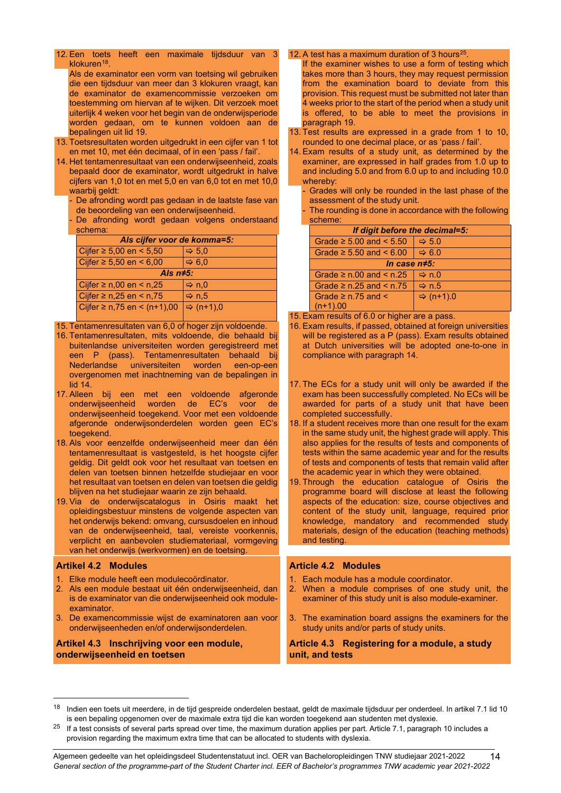12. Een toets heeft een maximale tijdsduur van 3 klokuren $18$ 

Als de examinator een vorm van toetsing wil gebruiken die een tijdsduur van meer dan 3 klokuren vraagt, kan de examinator de examencommissie verzoeken om toestemming om hiervan af te wijken. Dit verzoek moet uiterlijk 4 weken voor het begin van de onderwijsperiode worden gedaan, om te kunnen voldoen aan de bepalingen uit lid 19.

- 13. Toetsresultaten worden uitgedrukt in een cijfer van 1 tot en met 10, met één decimaal, of in een 'pass / fail'.
- 14. Het tentamenresultaat van een onderwijseenheid, zoals bepaald door de examinator, wordt uitgedrukt in halve cijfers van 1,0 tot en met 5,0 en van 6,0 tot en met 10,0 waarbij geldt:
	- De afronding wordt pas gedaan in de laatste fase van de beoordeling van een onderwijseenheid.
	- De afronding wordt gedaan volgens onderstaand schema:

| Als cijfer voor de komma=5:    |                       |  |
|--------------------------------|-----------------------|--|
| Cijfer ≥ 5,00 en < 5,50        | $\Rightarrow$ 5.0     |  |
| Cijfer ≥ 5,50 en < 6,00        | $\Leftrightarrow$ 6.0 |  |
| Als $n \neq 5$ :               |                       |  |
| Cijfer ≥ n,00 en < n,25        | $\Rightarrow$ n,0     |  |
| Cijfer ≥ n,25 en < n,75        | Arr n.5               |  |
| Cijfer ≥ n,75 en < $(n+1)$ ,00 | $\Rightarrow$ (n+1),0 |  |
|                                |                       |  |

15. Tentamenresultaten van 6,0 of hoger zijn voldoende.

- 16. Tentamenresultaten, mits voldoende, die behaald bij buitenlandse universiteiten worden geregistreerd met een P (pass). Tentamenresultaten behaald bij<br>Nederlandse universiteiten worden een-op-een Nederlandse universiteiten overgenomen met inachtneming van de bepalingen in lid 14.
- 17. Alleen bij een met een voldoende afgeronde<br>onderwijseenheid worden de EC's voor de onderwijseenheid worden de EC's voor de onderwijseenheid toegekend. Voor met een voldoende afgeronde onderwijsonderdelen worden geen EC's toegekend.
- 18. Als voor eenzelfde onderwijseenheid meer dan één tentamenresultaat is vastgesteld, is het hoogste cijfer geldig. Dit geldt ook voor het resultaat van toetsen en delen van toetsen binnen hetzelfde studiejaar en voor het resultaat van toetsen en delen van toetsen die geldig blijven na het studiejaar waarin ze zijn behaald.
- 19. Via de onderwijscatalogus in Osiris maakt het opleidingsbestuur minstens de volgende aspecten van het onderwijs bekend: omvang, cursusdoelen en inhoud van de onderwijseenheid, taal, vereiste voorkennis, verplicht en aanbevolen studiemateriaal, vormgeving van het onderwijs (werkvormen) en de toetsing.

#### <span id="page-13-0"></span>**Artikel 4.2 Modules**

- 1. Elke module heeft een modulecoördinator.
- 2. Als een module bestaat uit één onderwijseenheid, dan is de examinator van die onderwijseenheid ook moduleexaminator.
- 3. De examencommissie wijst de examinatoren aan voor onderwijseenheden en/of onderwijsonderdelen.

#### <span id="page-13-2"></span>**Artikel 4.3 Inschrijving voor een module, onderwijseenheid en toetsen**

#### 12. A test has a maximum duration of 3 hours<sup>[25](#page-13-5)</sup>

If the examiner wishes to use a form of testing which takes more than 3 hours, they may request permission from the examination board to deviate from this provision. This request must be submitted not later than 4 weeks prior to the start of the period when a study unit is offered, to be able to meet the provisions in paragraph 19.

- 13. Test results are expressed in a grade from 1 to 10, rounded to one decimal place, or as 'pass / fail'.
- 14. Exam results of a study unit, as determined by the examiner, are expressed in half grades from 1.0 up to and including 5.0 and from 6.0 up to and including 10.0 whereby:
	- Grades will only be rounded in the last phase of the assessment of the study unit.
	- The rounding is done in accordance with the following scheme:

| If digit before the decimal=5:    |                       |  |
|-----------------------------------|-----------------------|--|
| Grade $\geq 5.00$ and $\leq 5.50$ | $\Rightarrow$ 5.0     |  |
| Grade $\geq 5.50$ and $\leq 6.00$ | $\Rightarrow 6.0$     |  |
| In case $n \neq 5$ :              |                       |  |
| Grade $\geq$ n.00 and $\leq$ n.25 | $\Rightarrow$ n.0     |  |
| Grade $\geq$ n.25 and $\leq$ n.75 | Arr n.5               |  |
| Grade $\geq$ n.75 and $\leq$      | $\Rightarrow$ (n+1).0 |  |
| $(n+1).00$                        |                       |  |

15. Exam results of 6.0 or higher are a pass.

- 16. Exam results, if passed, obtained at foreign universities will be registered as a P (pass). Exam results obtained at Dutch universities will be adopted one-to-one in compliance with paragraph 14.
- 17. The ECs for a study unit will only be awarded if the exam has been successfully completed. No ECs will be awarded for parts of a study unit that have been completed successfully.
- 18. If a student receives more than one result for the exam in the same study unit, the highest grade will apply. This also applies for the results of tests and components of tests within the same academic year and for the results of tests and components of tests that remain valid after the academic year in which they were obtained.
- 19. Through the education catalogue of Osiris the programme board will disclose at least the following aspects of the education: size, course objectives and content of the study unit, language, required prior knowledge, mandatory and recommended study materials, design of the education (teaching methods) and testing.

#### <span id="page-13-1"></span>**Article 4.2 Modules**

- 1. Each module has a module coordinator.
- 2. When a module comprises of one study unit, the examiner of this study unit is also module-examiner.
- 3. The examination board assigns the examiners for the study units and/or parts of study units.

<span id="page-13-3"></span>**Article 4.3 Registering for a module, a study unit, and tests**

<span id="page-13-4"></span><sup>&</sup>lt;sup>18</sup> Indien een toets uit meerdere, in de tijd gespreide onderdelen bestaat, geldt de maximale tijdsduur per onderdeel. In artikel 7.1 lid 10 is een bepaling opgenomen over de maximale extra tijd die kan worden toegekend aan studenten met dyslexie.

<span id="page-13-5"></span> $25$  If a test consists of several parts spread over time, the maximum duration applies per part. Article 7.1, paragraph 10 includes a provision regarding the maximum extra time that can be allocated to students with dyslexia.

<sup>14</sup>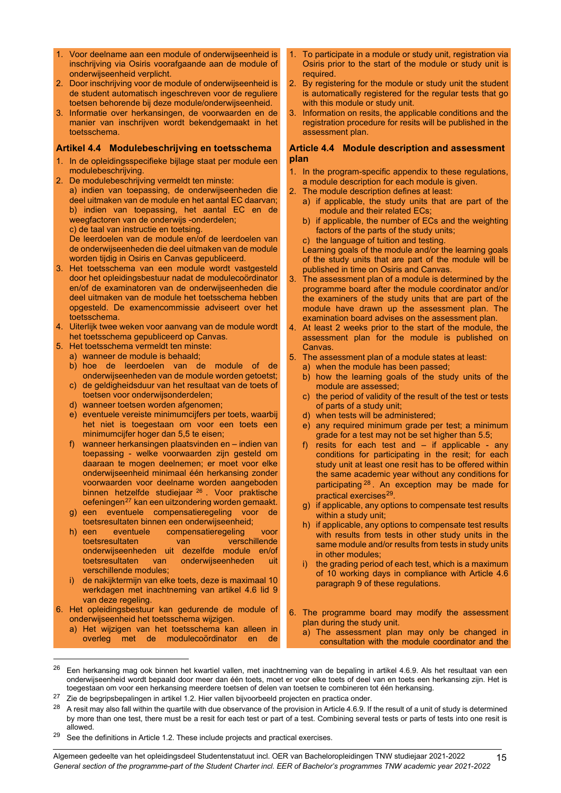- 1. Voor deelname aan een module of onderwijseenheid is inschrijving via Osiris voorafgaande aan de module of onderwijseenheid verplicht.
- 2. Door inschrijving voor de module of onderwijseenheid is de student automatisch ingeschreven voor de reguliere toetsen behorende bij deze module/onderwijseenheid.
- 3. Informatie over herkansingen, de voorwaarden en de manier van inschrijven wordt bekendgemaakt in het toetsschema.

#### <span id="page-14-0"></span>**Artikel 4.4 Modulebeschrijving en toetsschema**

- 1. In de opleidingsspecifieke bijlage staat per module een modulebeschrijving.
- 2. De modulebeschrijving vermeldt ten minste:
	- a) indien van toepassing, de onderwijseenheden die deel uitmaken van de module en het aantal EC daarvan; b) indien van toepassing, het aantal EC en de weegfactoren van de onderwijs -onderdelen;
		- c) de taal van instructie en toetsing.

De leerdoelen van de module en/of de leerdoelen van de onderwijseenheden die deel uitmaken van de module worden tijdig in Osiris en Canvas gepubliceerd.

- 3. Het toetsschema van een module wordt vastgesteld door het opleidingsbestuur nadat de modulecoördinator en/of de examinatoren van de onderwijseenheden die deel uitmaken van de module het toetsschema hebben opgesteld. De examencommissie adviseert over het toetsschema.
- 4. Uiterlijk twee weken voor aanvang van de module wordt het toetsschema gepubliceerd op Canvas.
- 5. Het toetsschema vermeldt ten minste:
- a) wanneer de module is behaald;
	- b) hoe de leerdoelen van de module of de onderwijseenheden van de module worden getoetst;
	- c) de geldigheidsduur van het resultaat van de toets of toetsen voor onderwijsonderdelen;
	- d) wanneer toetsen worden afgenomen;
	- e) eventuele vereiste minimumcijfers per toets, waarbij het niet is toegestaan om voor een toets een minimumcijfer hoger dan 5,5 te eisen;
	- f) wanneer herkansingen plaatsvinden en indien van toepassing - welke voorwaarden zijn gesteld om daaraan te mogen deelnemen; er moet voor elke onderwijseenheid minimaal één herkansing zonder voorwaarden voor deelname worden aangeboden binnen hetzelfde studiejaar [26](#page-14-2) . Voor praktische oefeningen<sup>[27](#page-14-3)</sup> kan een uitzondering worden gemaakt.
	- g) een eventuele compensatieregeling voor de toetsresultaten binnen een onderwijseenheid;<br>
	h) een eventuele compensatieregeling
	- compensatieregeling voor<br>van verschillende toetsresultaten van onderwijseenheden uit dezelfde module en/of toetsresultaten van onderwijseenheden uit verschillende modules;
	- i) de nakijktermijn van elke toets, deze is maximaal 10 werkdagen met inachtneming van artikel 4.6 lid 9 van deze regeling.
- 6. Het opleidingsbestuur kan gedurende de module of onderwijseenheid het toetsschema wijzigen.
	- a) Het wijzigen van het toetsschema kan alleen in overleg met de modulecoördinator en de
- 1. To participate in a module or study unit, registration via Osiris prior to the start of the module or study unit is required.
- 2. By registering for the module or study unit the student is automatically registered for the regular tests that go with this module or study unit.
- 3. Information on resits, the applicable conditions and the registration procedure for resits will be published in the assessment plan.

#### <span id="page-14-1"></span>**Article 4.4 Module description and assessment plan**

- 1. In the program-specific appendix to these regulations, a module description for each module is given.
- 2. The module description defines at least:
	- a) if applicable, the study units that are part of the module and their related ECs;
	- b) if applicable, the number of ECs and the weighting factors of the parts of the study units;
	- c) the language of tuition and testing.

Learning goals of the module and/or the learning goals of the study units that are part of the module will be published in time on Osiris and Canvas.

- The assessment plan of a module is determined by the programme board after the module coordinator and/or the examiners of the study units that are part of the module have drawn up the assessment plan. The examination board advises on the assessment plan.
- 4. At least 2 weeks prior to the start of the module, the assessment plan for the module is published on Canvas.
- 5. The assessment plan of a module states at least:
	- a) when the module has been passed;
	- b) how the learning goals of the study units of the module are assessed;
	- c) the period of validity of the result of the test or tests of parts of a study unit;
	- d) when tests will be administered;
	- e) any required minimum grade per test; a minimum grade for a test may not be set higher than 5.5;
	- f) resits for each test and  $-$  if applicable any conditions for participating in the resit; for each study unit at least one resit has to be offered within the same academic year without any conditions for participating <sup>[28](#page-14-4)</sup>. An exception may be made for practical exercises<sup>[29](#page-14-5)</sup>.
	- g) if applicable, any options to compensate test results within a study unit;
	- h) if applicable, any options to compensate test results with results from tests in other study units in the same module and/or results from tests in study units in other modules;
	- i) the grading period of each test, which is a maximum of 10 working days in compliance with Article 4.6 paragraph 9 of these regulations.
- 6. The programme board may modify the assessment plan during the study unit.
	- a) The assessment plan may only be changed in consultation with the module coordinator and the
- <span id="page-14-2"></span> $26$  Een herkansing mag ook binnen het kwartiel vallen, met inachtneming van de bepaling in artikel 4.6.9. Als het resultaat van een onderwijseenheid wordt bepaald door meer dan één toets, moet er voor elke toets of deel van en toets een herkansing zijn. Het is toegestaan om voor een herkansing meerdere toetsen of delen van toetsen te combineren tot één herkansing.
- <span id="page-14-3"></span><sup>27</sup> Zie de begripsbepalingen in artikel 1.2. Hier vallen bijvoorbeeld projecten en practica onder.
- <span id="page-14-4"></span><sup>28</sup> A resit may also fall within the quartile with due observance of the provision in Article 4.6.9. If the result of a unit of study is determined by more than one test, there must be a resit for each test or part of a test. Combining several tests or parts of tests into one resit is allowed.
- <span id="page-14-5"></span> $29$  See the definitions in Article 1.2. These include projects and practical exercises.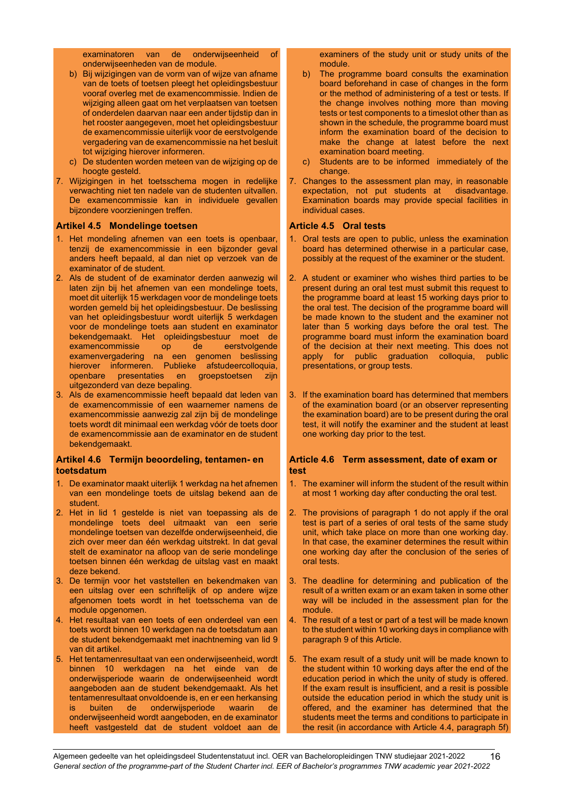examinatoren van de onderwijseenheid of onderwijseenheden van de module.

- b) Bij wijzigingen van de vorm van of wijze van afname van de toets of toetsen pleegt het opleidingsbestuur vooraf overleg met de examencommissie. Indien de wijziging alleen gaat om het verplaatsen van toetsen of onderdelen daarvan naar een ander tijdstip dan in het rooster aangegeven, moet het opleidingsbestuur de examencommissie uiterlijk voor de eerstvolgende vergadering van de examencommissie na het besluit tot wijziging hierover informeren.
- c) De studenten worden meteen van de wijziging op de hoogte gesteld.
- 7. Wijzigingen in het toetsschema mogen in redelijke verwachting niet ten nadele van de studenten uitvallen. De examencommissie kan in individuele gevallen bijzondere voorzieningen treffen.

#### <span id="page-15-0"></span>**Artikel 4.5 Mondelinge toetsen**

- 1. Het mondeling afnemen van een toets is openbaar, tenzij de examencommissie in een bijzonder geval anders heeft bepaald, al dan niet op verzoek van de examinator of de student.
- 2. Als de student of de examinator derden aanwezig wil laten zijn bij het afnemen van een mondelinge toets, moet dit uiterlijk 15 werkdagen voor de mondelinge toets worden gemeld bij het opleidingsbestuur. De beslissing van het opleidingsbestuur wordt uiterlijk 5 werkdagen voor de mondelinge toets aan student en examinator bekendgemaakt. Het opleidingsbestuur moet de<br>examencommissie op de eerstvolgende examencommissie op examenvergadering na een genomen beslissing hierover informeren. Publieke afstudeercolloquia, openbare presentaties en groepstoetsen zijn uitgezonderd van deze bepaling.
- 3. Als de examencommissie heeft bepaald dat leden van de examencommissie of een waarnemer namens de examencommissie aanwezig zal zijn bij de mondelinge toets wordt dit minimaal een werkdag vóór de toets door de examencommissie aan de examinator en de student bekendgemaakt.

#### <span id="page-15-2"></span>**Artikel 4.6 Termijn beoordeling, tentamen- en toetsdatum**

- 1. De examinator maakt uiterlijk 1 werkdag na het afnemen van een mondelinge toets de uitslag bekend aan de student.
- 2. Het in lid 1 gestelde is niet van toepassing als de mondelinge toets deel uitmaakt van een serie mondelinge toetsen van dezelfde onderwijseenheid, die zich over meer dan één werkdag uitstrekt. In dat geval stelt de examinator na afloop van de serie mondelinge toetsen binnen één werkdag de uitslag vast en maakt deze bekend.
- 3. De termijn voor het vaststellen en bekendmaken van een uitslag over een schriftelijk of op andere wijze afgenomen toets wordt in het toetsschema van de module opgenomen.
- 4. Het resultaat van een toets of een onderdeel van een toets wordt binnen 10 werkdagen na de toetsdatum aan de student bekendgemaakt met inachtneming van lid 9 van dit artikel.
- 5. Het tentamenresultaat van een onderwijseenheid, wordt binnen 10 werkdagen na het einde van de onderwijsperiode waarin de onderwijseenheid wordt aangeboden aan de student bekendgemaakt. Als het tentamenresultaat onvoldoende is, en er een herkansing is buiten de onderwijsperiode waarin de onderwijseenheid wordt aangeboden, en de examinator heeft vastgesteld dat de student voldoet aan de

examiners of the study unit or study units of the module.

- b) The programme board consults the examination board beforehand in case of changes in the form or the method of administering of a test or tests. If the change involves nothing more than moving tests or test components to a timeslot other than as shown in the schedule, the programme board must inform the examination board of the decision to make the change at latest before the next examination board meeting.
- c) Students are to be informed immediately of the change.
- 7. Changes to the assessment plan may, in reasonable expectation, not put students at disadvantage. Examination boards may provide special facilities in individual cases.

#### <span id="page-15-1"></span>**Article 4.5 Oral tests**

- 1. Oral tests are open to public, unless the examination board has determined otherwise in a particular case, possibly at the request of the examiner or the student.
- 2. A student or examiner who wishes third parties to be present during an oral test must submit this request to the programme board at least 15 working days prior to the oral test. The decision of the programme board will be made known to the student and the examiner not later than 5 working days before the oral test. The programme board must inform the examination board of the decision at their next meeting. This does not apply for public graduation colloquia, public presentations, or group tests.
- 3. If the examination board has determined that members of the examination board (or an observer representing the examination board) are to be present during the oral test, it will notify the examiner and the student at least one working day prior to the test.

#### <span id="page-15-3"></span>**Article 4.6 Term assessment, date of exam or test**

- 1. The examiner will inform the student of the result within at most 1 working day after conducting the oral test.
- 2. The provisions of paragraph 1 do not apply if the oral test is part of a series of oral tests of the same study unit, which take place on more than one working day. In that case, the examiner determines the result within one working day after the conclusion of the series of oral tests.
- 3. The deadline for determining and publication of the result of a written exam or an exam taken in some other way will be included in the assessment plan for the module.
- 4. The result of a test or part of a test will be made known to the student within 10 working days in compliance with paragraph 9 of this Article.
- 5. The exam result of a study unit will be made known to the student within 10 working days after the end of the education period in which the unity of study is offered. If the exam result is insufficient, and a resit is possible outside the education period in which the study unit is offered, and the examiner has determined that the students meet the terms and conditions to participate in the resit (in accordance with Article 4.4, paragraph 5f)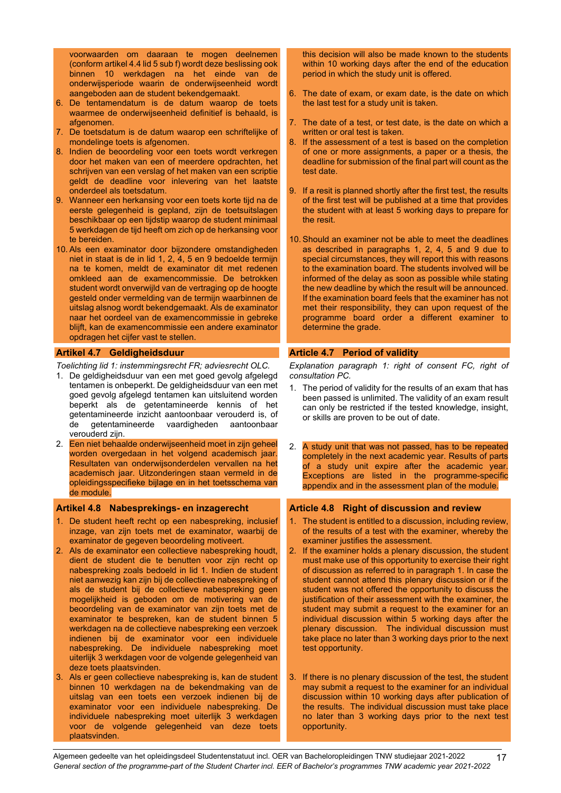voorwaarden om daaraan te mogen deelnemen (conform artikel 4.4 lid 5 sub f) wordt deze beslissing ook binnen 10 werkdagen na het einde van de onderwijsperiode waarin de onderwijseenheid wordt aangeboden aan de student bekendgemaakt.

- 6. De tentamendatum is de datum waarop de toets waarmee de onderwijseenheid definitief is behaald, is afgenomen.
- 7. De toetsdatum is de datum waarop een schriftelijke of mondelinge toets is afgenomen.
- 8. Indien de beoordeling voor een toets wordt verkregen door het maken van een of meerdere opdrachten, het schrijven van een verslag of het maken van een scriptie geldt de deadline voor inlevering van het laatste onderdeel als toetsdatum.
- 9. Wanneer een herkansing voor een toets korte tijd na de eerste gelegenheid is gepland, zijn de toetsuitslagen beschikbaar op een tijdstip waarop de student minimaal 5 werkdagen de tijd heeft om zich op de herkansing voor te bereiden.
- 10. Als een examinator door bijzondere omstandigheden niet in staat is de in lid 1, 2, 4, 5 en 9 bedoelde termijn na te komen, meldt de examinator dit met redenen omkleed aan de examencommissie. De betrokken student wordt onverwijld van de vertraging op de hoogte gesteld onder vermelding van de termijn waarbinnen de uitslag alsnog wordt bekendgemaakt. Als de examinator naar het oordeel van de examencommissie in gebreke blijft, kan de examencommissie een andere examinator opdragen het cijfer vast te stellen.

#### <span id="page-16-0"></span>**Artikel 4.7 Geldigheidsduur**

- *Toelichting lid 1: instemmingsrecht FR; adviesrecht OLC.*
- 1. De geldigheidsduur van een met goed gevolg afgelegd tentamen is onbeperkt. De geldigheidsduur van een met goed gevolg afgelegd tentamen kan uitsluitend worden beperkt als de getentamineerde kennis of het getentamineerde inzicht aantoonbaar verouderd is, of de getentamineerde vaardigheden aantoonbaar verouderd zijn.
- 2. Een niet behaalde onderwijseenheid moet in zijn geheel worden overgedaan in het volgend academisch jaar. Resultaten van onderwijsonderdelen vervallen na het academisch jaar. Uitzonderingen staan vermeld in de opleidingsspecifieke bijlage en in het toetsschema van de module.

#### <span id="page-16-2"></span>**Artikel 4.8 Nabesprekings- en inzagerecht**

- 1. De student heeft recht op een nabespreking, inclusief inzage, van zijn toets met de examinator, waarbij de examinator de gegeven beoordeling motiveert.
- 2. Als de examinator een collectieve nabespreking houdt, dient de student die te benutten voor zijn recht op nabespreking zoals bedoeld in lid 1. Indien de student niet aanwezig kan zijn bij de collectieve nabespreking of als de student bij de collectieve nabespreking geen mogelijkheid is geboden om de motivering van de beoordeling van de examinator van zijn toets met de examinator te bespreken, kan de student binnen 5 werkdagen na de collectieve nabespreking een verzoek indienen bij de examinator voor een individuele nabespreking. De individuele nabespreking moet uiterlijk 3 werkdagen voor de volgende gelegenheid van deze toets plaatsvinden.
- 3. Als er geen collectieve nabespreking is, kan de student binnen 10 werkdagen na de bekendmaking van de uitslag van een toets een verzoek indienen bij de examinator voor een individuele nabespreking. De individuele nabespreking moet uiterlijk 3 werkdagen voor de volgende gelegenheid van deze toets plaatsvinden.

this decision will also be made known to the students within 10 working days after the end of the education period in which the study unit is offered.

- 6. The date of exam, or exam date, is the date on which the last test for a study unit is taken.
- 7. The date of a test, or test date, is the date on which a written or oral test is taken.
- 8. If the assessment of a test is based on the completion of one or more assignments, a paper or a thesis, the deadline for submission of the final part will count as the test date.
- 9. If a resit is planned shortly after the first test, the results of the first test will be published at a time that provides the student with at least 5 working days to prepare for the resit.
- 10. Should an examiner not be able to meet the deadlines as described in paragraphs 1, 2, 4, 5 and 9 due to special circumstances, they will report this with reasons to the examination board. The students involved will be informed of the delay as soon as possible while stating the new deadline by which the result will be announced. If the examination board feels that the examiner has not met their responsibility, they can upon request of the programme board order a different examiner to determine the grade.

#### <span id="page-16-1"></span>**Article 4.7 Period of validity**

*Explanation paragraph 1: right of consent FC, right of consultation PC.*

- 1. The period of validity for the results of an exam that has been passed is unlimited. The validity of an exam result can only be restricted if the tested knowledge, insight, or skills are proven to be out of date.
- 2. A study unit that was not passed, has to be repeated completely in the next academic year. Results of parts of a study unit expire after the academic year. Exceptions are listed in the programme-specific appendix and in the assessment plan of the module.

#### <span id="page-16-3"></span>**Article 4.8 Right of discussion and review**

- 1. The student is entitled to a discussion, including review, of the results of a test with the examiner, whereby the examiner justifies the assessment.
- 2. If the examiner holds a plenary discussion, the student must make use of this opportunity to exercise their right of discussion as referred to in paragraph 1. In case the student cannot attend this plenary discussion or if the student was not offered the opportunity to discuss the justification of their assessment with the examiner, the student may submit a request to the examiner for an individual discussion within 5 working days after the plenary discussion. The individual discussion must take place no later than 3 working days prior to the next test opportunity.
- 3. If there is no plenary discussion of the test, the student may submit a request to the examiner for an individual discussion within 10 working days after publication of the results. The individual discussion must take place no later than 3 working days prior to the next test opportunity.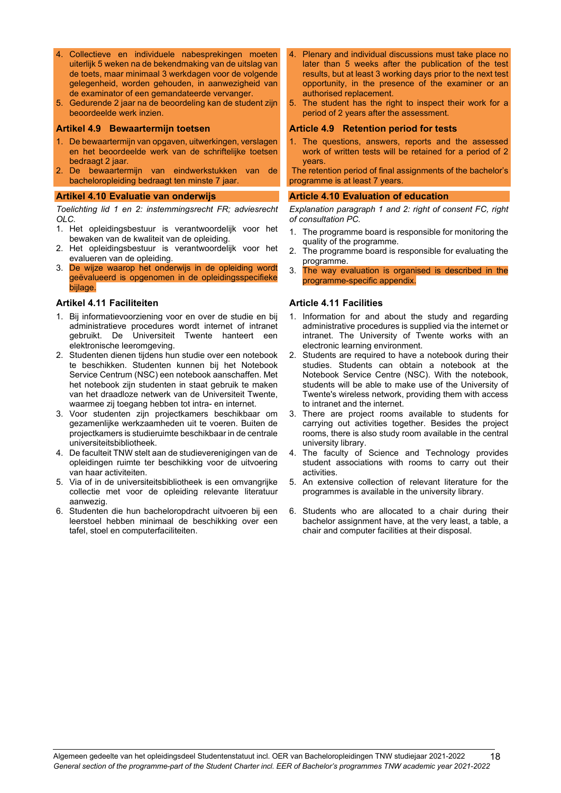- 4. Collectieve en individuele nabesprekingen moeten uiterlijk 5 weken na de bekendmaking van de uitslag van de toets, maar minimaal 3 werkdagen voor de volgende gelegenheid, worden gehouden, in aanwezigheid van de examinator of een gemandateerde vervanger.
- 5. Gedurende 2 jaar na de beoordeling kan de student zijn beoordeelde werk inzien.

#### <span id="page-17-0"></span>**Artikel 4.9 Bewaartermijn toetsen**

- 1. De bewaartermijn van opgaven, uitwerkingen, verslagen en het beoordeelde werk van de schriftelijke toetsen bedraagt 2 jaar.
- 2. De bewaartermijn van eindwerkstukken van de bacheloropleiding bedraagt ten minste 7 jaar.

#### <span id="page-17-2"></span>**Artikel 4.10 Evaluatie van onderwijs**

*Toelichting lid 1 en 2: instemmingsrecht FR; adviesrecht OLC.*

- 1. Het opleidingsbestuur is verantwoordelijk voor het bewaken van de kwaliteit van de opleiding.
- 2. Het opleidingsbestuur is verantwoordelijk voor het evalueren van de opleiding.
- 3. De wijze waarop het onderwijs in de opleiding wordt geëvalueerd is opgenomen in de opleidingsspecifieke bijlage.

#### <span id="page-17-4"></span>**Artikel 4.11 Faciliteiten**

- 1. Bij informatievoorziening voor en over de studie en bij administratieve procedures wordt internet of intranet gebruikt. De Universiteit Twente hanteert een elektronische leeromgeving.
- 2. Studenten dienen tijdens hun studie over een notebook te beschikken. Studenten kunnen bij het Notebook Service Centrum (NSC) een notebook aanschaffen. Met het notebook zijn studenten in staat gebruik te maken van het draadloze netwerk van de Universiteit Twente, waarmee zij toegang hebben tot intra- en internet.
- 3. Voor studenten zijn projectkamers beschikbaar om gezamenlijke werkzaamheden uit te voeren. Buiten de projectkamers is studieruimte beschikbaar in de centrale universiteitsbibliotheek.
- 4. De faculteit TNW stelt aan de studieverenigingen van de opleidingen ruimte ter beschikking voor de uitvoering van haar activiteiten.
- 5. Via of in de universiteitsbibliotheek is een omvangrijke collectie met voor de opleiding relevante literatuur aanwezig.
- 6. Studenten die hun bacheloropdracht uitvoeren bij een leerstoel hebben minimaal de beschikking over een tafel, stoel en computerfaciliteiten.
- 4. Plenary and individual discussions must take place no later than 5 weeks after the publication of the test results, but at least 3 working days prior to the next test opportunity, in the presence of the examiner or an authorised replacement.
- 5. The student has the right to inspect their work for a period of 2 years after the assessment.

#### <span id="page-17-1"></span>**Article 4.9 Retention period for tests**

1. The questions, answers, reports and the assessed work of written tests will be retained for a period of 2 years.

The retention period of final assignments of the bachelor's programme is at least 7 years.

#### <span id="page-17-3"></span>**Article 4.10 Evaluation of education**

*Explanation paragraph 1 and 2: right of consent FC, right of consultation PC.*

- 1. The programme board is responsible for monitoring the quality of the programme.
- 2. The programme board is responsible for evaluating the programme.
- 3. The way evaluation is organised is described in the programme-specific appendix.

#### <span id="page-17-5"></span>**Article 4.11 Facilities**

- 1. Information for and about the study and regarding administrative procedures is supplied via the internet or intranet. The University of Twente works with an electronic learning environment.
- 2. Students are required to have a notebook during their studies. Students can obtain a notebook at the Notebook Service Centre (NSC). With the notebook, students will be able to make use of the University of Twente's wireless network, providing them with access to intranet and the internet.
- 3. There are project rooms available to students for carrying out activities together. Besides the project rooms, there is also study room available in the central university library.
- 4. The faculty of Science and Technology provides student associations with rooms to carry out their activities.
- 5. An extensive collection of relevant literature for the programmes is available in the university library.
- 6. Students who are allocated to a chair during their bachelor assignment have, at the very least, a table, a chair and computer facilities at their disposal.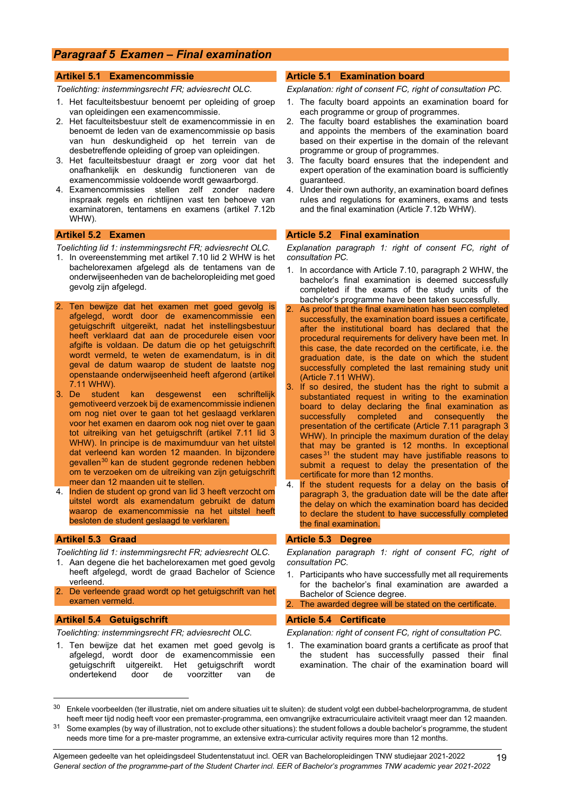## <span id="page-18-0"></span>*Paragraaf 5 Examen – Final examination*

#### <span id="page-18-1"></span>**Artikel 5.1 Examencommissie**

*Toelichting: instemmingsrecht FR; adviesrecht OLC.*

- 1. Het faculteitsbestuur benoemt per opleiding of groep van opleidingen een examencommissie.
- 2. Het faculteitsbestuur stelt de examencommissie in en benoemt de leden van de examencommissie op basis van hun deskundigheid op het terrein van de desbetreffende opleiding of groep van opleidingen.
- 3. Het faculteitsbestuur draagt er zorg voor dat het onafhankelijk en deskundig functioneren van de examencommissie voldoende wordt gewaarborgd.
- 4. Examencommissies stellen zelf zonder nadere inspraak regels en richtlijnen vast ten behoeve van examinatoren, tentamens en examens (artikel 7.12b WHW).

#### <span id="page-18-3"></span>**Artikel 5.2 Examen**

*Toelichting lid 1: instemmingsrecht FR; adviesrecht OLC.*

- 1. In overeenstemming met artikel 7.10 lid 2 WHW is het bachelorexamen afgelegd als de tentamens van de onderwijseenheden van de bacheloropleiding met goed gevolg zijn afgelegd.
- 2. Ten bewijze dat het examen met goed gevolg is afgelegd, wordt door de examencommissie een getuigschrift uitgereikt, nadat het instellingsbestuur heeft verklaard dat aan de procedurele eisen voor afgifte is voldaan. De datum die op het getuigschrift wordt vermeld, te weten de examendatum, is in dit geval de datum waarop de student de laatste nog openstaande onderwijseenheid heeft afgerond (artikel 7.11 WHW).
- 3. De student kan desgewenst een schriftelijk gemotiveerd verzoek bij de examencommissie indienen om nog niet over te gaan tot het geslaagd verklaren voor het examen en daarom ook nog niet over te gaan tot uitreiking van het getuigschrift (artikel 7.11 lid 3 WHW). In principe is de maximumduur van het uitstel dat verleend kan worden 12 maanden. In bijzondere gevallen[30](#page-18-9) kan de student gegronde redenen hebben om te verzoeken om de uitreiking van zijn getuigschrift meer dan 12 maanden uit te stellen.
- 4. Indien de student op grond van lid 3 heeft verzocht om uitstel wordt als examendatum gebruikt de datum waarop de examencommissie na het uitstel heeft besloten de student geslaagd te verklaren.

#### <span id="page-18-5"></span>**Artikel 5.3 Graad**

*Toelichting lid 1: instemmingsrecht FR; adviesrecht OLC.*

- 1. Aan degene die het bachelorexamen met goed gevolg heeft afgelegd, wordt de graad Bachelor of Science verleend.
- 2. De verleende graad wordt op het getuigschrift van het examen vermeld.

#### <span id="page-18-7"></span>**Artikel 5.4 Getuigschrift**

*Toelichting: instemmingsrecht FR; adviesrecht OLC.*

1. Ten bewijze dat het examen met goed gevolg is afgelegd, wordt door de examencommissie een getuigschrift uitgereikt. Het getuigschrift wordt ondertekend door de voorzitter van de

#### <span id="page-18-2"></span>**Article 5.1 Examination board**

*Explanation: right of consent FC, right of consultation PC.*

- 1. The faculty board appoints an examination board for each programme or group of programmes.
- 2. The faculty board establishes the examination board and appoints the members of the examination board based on their expertise in the domain of the relevant programme or group of programmes.
- 3. The faculty board ensures that the independent and expert operation of the examination board is sufficiently guaranteed.
- 4. Under their own authority, an examination board defines rules and regulations for examiners, exams and tests and the final examination (Article 7.12b WHW).

#### <span id="page-18-4"></span>**Article 5.2 Final examination**

*Explanation paragraph 1: right of consent FC, right of consultation PC.*

- 1. In accordance with Article 7.10, paragraph 2 WHW, the bachelor's final examination is deemed successfully completed if the exams of the study units of the bachelor's programme have been taken successfully.
- As proof that the final examination has been completed successfully, the examination board issues a certificate, after the institutional board has declared that the procedural requirements for delivery have been met. In this case, the date recorded on the certificate, i.e. the graduation date, is the date on which the student successfully completed the last remaining study unit (Article 7.11 WHW).
- 3. If so desired, the student has the right to submit a substantiated request in writing to the examination board to delay declaring the final examination as<br>successfully completed and consequently the completed and consequently the presentation of the certificate (Article 7.11 paragraph 3 WHW). In principle the maximum duration of the delay that may be granted is 12 months. In exceptional cases  $31$  the student may have justifiable reasons to submit a request to delay the presentation of the certificate for more than 12 months.
- If the student requests for a delay on the basis of paragraph 3, the graduation date will be the date after the delay on which the examination board has decided to declare the student to have successfully completed the final examination.

#### <span id="page-18-6"></span>**Article 5.3 Degree**

*Explanation paragraph 1: right of consent FC, right of consultation PC.*

- 1. Participants who have successfully met all requirements for the bachelor's final examination are awarded a Bachelor of Science degree.
- The awarded degree will be stated on the certificate.

#### <span id="page-18-8"></span>**Article 5.4 Certificate**

*Explanation: right of consent FC, right of consultation PC.*

1. The examination board grants a certificate as proof that the student has successfully passed their final examination. The chair of the examination board will

<span id="page-18-9"></span><sup>30</sup> Enkele voorbeelden (ter illustratie, niet om andere situaties uit te sluiten): de student volgt een dubbel-bachelorprogramma, de student heeft meer tijd nodig heeft voor een premaster-programma, een omvangrijke extracurriculaire activiteit vraagt meer dan 12 maanden.

<span id="page-18-10"></span><sup>&</sup>lt;sup>31</sup> Some examples (by way of illustration, not to exclude other situations): the student follows a double bachelor's programme, the student needs more time for a pre-master programme, an extensive extra-curricular activity requires more than 12 months.

Algemeen gedeelte van het opleidingsdeel Studentenstatuut incl. OER van Bacheloropleidingen TNW studiejaar 2021-2022 *General section of the programme-part of the Student Charter incl. EER of Bachelor's programmes TNW academic year 2021-2022*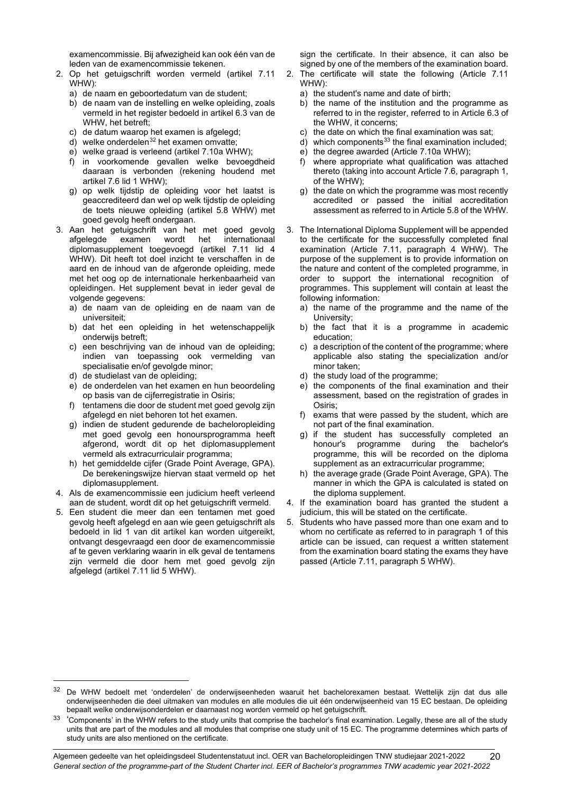examencommissie. Bij afwezigheid kan ook één van de leden van de examencommissie tekenen.

- 2. Op het getuigschrift worden vermeld (artikel 7.11 WHW):
	- a) de naam en geboortedatum van de student;
	- b) de naam van de instelling en welke opleiding, zoals vermeld in het register bedoeld in artikel 6.3 van de WHW, het betreft;
	- c) de datum waarop het examen is afgelegd;
	- $\overrightarrow{d}$ ) welke onderdelen<sup>[32](#page-19-0)</sup> het examen omvatte;
	- e) welke graad is verleend (artikel 7.10a WHW);
	- f) in voorkomende gevallen welke bevoegdheid daaraan is verbonden (rekening houdend met artikel 7.6 lid 1 WHW);
	- g) op welk tijdstip de opleiding voor het laatst is geaccrediteerd dan wel op welk tijdstip de opleiding de toets nieuwe opleiding (artikel 5.8 WHW) met goed gevolg heeft ondergaan.
- 3. Aan het getuigschrift van het met goed gevolg afgelegde examen wordt het internationaal diplomasupplement toegevoegd (artikel 7.11 lid 4 WHW). Dit heeft tot doel inzicht te verschaffen in de aard en de inhoud van de afgeronde opleiding, mede met het oog op de internationale herkenbaarheid van opleidingen. Het supplement bevat in ieder geval de volgende gegevens:
	- a) de naam van de opleiding en de naam van de universiteit;
	- b) dat het een opleiding in het wetenschappelijk onderwijs betreft;
	- c) een beschrijving van de inhoud van de opleiding; indien van toepassing ook vermelding van specialisatie en/of gevolgde minor;
	- d) de studielast van de opleiding;
	- e) de onderdelen van het examen en hun beoordeling op basis van de cijferregistratie in Osiris;
	- f) tentamens die door de student met goed gevolg zijn afgelegd en niet behoren tot het examen.
	- g) indien de student gedurende de bacheloropleiding met goed gevolg een honoursprogramma heeft afgerond, wordt dit op het diplomasupplement vermeld als extracurriculair programma;
	- h) het gemiddelde cijfer (Grade Point Average, GPA). De berekeningswijze hiervan staat vermeld op het diplomasupplement.
- 4. Als de examencommissie een judicium heeft verleend aan de student, wordt dit op het getuigschrift vermeld.
- 5. Een student die meer dan een tentamen met goed gevolg heeft afgelegd en aan wie geen getuigschrift als bedoeld in lid 1 van dit artikel kan worden uitgereikt, ontvangt desgevraagd een door de examencommissie af te geven verklaring waarin in elk geval de tentamens zijn vermeld die door hem met goed gevolg zijn afgelegd (artikel 7.11 lid 5 WHW).

sign the certificate. In their absence, it can also be signed by one of the members of the examination board.

- 2. The certificate will state the following (Article 7.11 WHW):
	- a) the student's name and date of birth;
	- b) the name of the institution and the programme as referred to in the register, referred to in Article 6.3 of the WHW, it concerns;
	- c) the date on which the final examination was sat;
	- $\overrightarrow{d}$ ) which components<sup>[33](#page-19-1)</sup> the final examination included;
	- e) the degree awarded (Article 7.10a WHW);
	- f) where appropriate what qualification was attached thereto (taking into account Article 7.6, paragraph 1, of the WHW);
	- g) the date on which the programme was most recently accredited or passed the initial accreditation assessment as referred to in Article 5.8 of the WHW.
- 3. The International Diploma Supplement will be appended to the certificate for the successfully completed final examination (Article 7.11, paragraph 4 WHW). The purpose of the supplement is to provide information on the nature and content of the completed programme, in order to support the international recognition of programmes. This supplement will contain at least the following information:
	- a) the name of the programme and the name of the University;
	- b) the fact that it is a programme in academic education;
	- c) a description of the content of the programme; where applicable also stating the specialization and/or minor taken;
	- d) the study load of the programme;
	- e) the components of the final examination and their assessment, based on the registration of grades in Osiris;
	- f) exams that were passed by the student, which are not part of the final examination.
	- g) if the student has successfully completed an honour's programme during the bachelor's programme, this will be recorded on the diploma supplement as an extracurricular programme;
	- h) the average grade (Grade Point Average, GPA). The manner in which the GPA is calculated is stated on the diploma supplement.
- 4. If the examination board has granted the student a judicium, this will be stated on the certificate.
- Students who have passed more than one exam and to whom no certificate as referred to in paragraph 1 of this article can be issued, can request a written statement from the examination board stating the exams they have passed (Article 7.11, paragraph 5 WHW).

<span id="page-19-0"></span><sup>&</sup>lt;sup>32</sup> De WHW bedoelt met 'onderdelen' de onderwijseenheden waaruit het bachelorexamen bestaat. Wettelijk zijn dat dus alle onderwijseenheden die deel uitmaken van modules en alle modules die uit één onderwijseenheid van 15 EC bestaan. De opleiding bepaalt welke onderwijsonderdelen er daarnaast nog worden vermeld op het getuigschrift.

<span id="page-19-1"></span><sup>33 &#</sup>x27;Components' in the WHW refers to the study units that comprise the bachelor's final examination. Legally, these are all of the study units that are part of the modules and all modules that comprise one study unit of 15 EC. The programme determines which parts of study units are also mentioned on the certificate.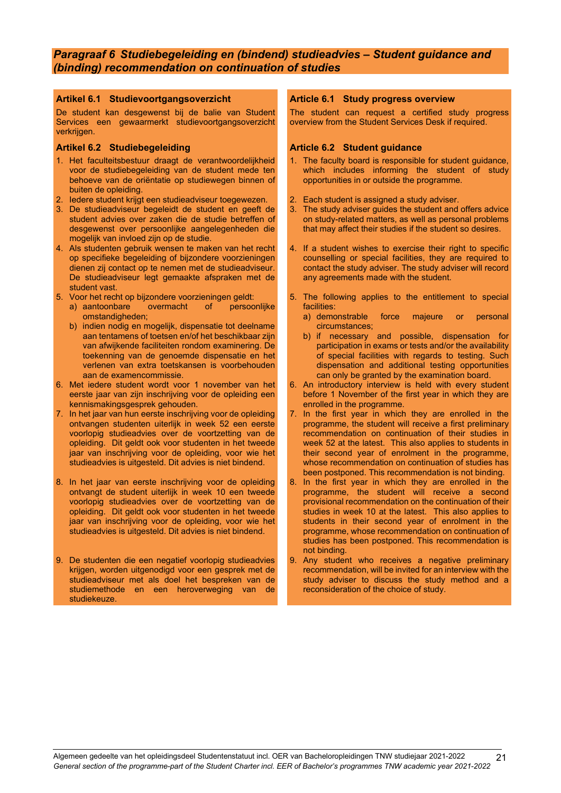## <span id="page-20-0"></span>*Paragraaf 6 Studiebegeleiding en (bindend) studieadvies – Student guidance and (binding) recommendation on continuation of studies*

#### <span id="page-20-1"></span>**Artikel 6.1 Studievoortgangsoverzicht**

De student kan desgewenst bij de balie van Student Services een gewaarmerkt studievoortgangsoverzicht verkrijgen.

#### <span id="page-20-3"></span>**Artikel 6.2 Studiebegeleiding**

- 1. Het faculteitsbestuur draagt de verantwoordelijkheid voor de studiebegeleiding van de student mede ten behoeve van de oriëntatie op studiewegen binnen of buiten de opleiding.
- 2. Iedere student krijgt een studieadviseur toegewezen.
- 3. De studieadviseur begeleidt de student en geeft de student advies over zaken die de studie betreffen of desgewenst over persoonlijke aangelegenheden die mogelijk van invloed zijn op de studie.
- 4. Als studenten gebruik wensen te maken van het recht op specifieke begeleiding of bijzondere voorzieningen dienen zij contact op te nemen met de studieadviseur. De studieadviseur legt gemaakte afspraken met de student vast.
- 5. Voor het recht op bijzondere voorzieningen geldt:
	- a) aantoonbare omstandigheden;
	- b) indien nodig en mogelijk, dispensatie tot deelname aan tentamens of toetsen en/of het beschikbaar zijn van afwijkende faciliteiten rondom examinering. De toekenning van de genoemde dispensatie en het verlenen van extra toetskansen is voorbehouden aan de examencommissie.
- 6. Met iedere student wordt voor 1 november van het eerste jaar van zijn inschrijving voor de opleiding een kennismakingsgesprek gehouden.
- 7. In het jaar van hun eerste inschrijving voor de opleiding ontvangen studenten uiterlijk in week 52 een eerste voorlopig studieadvies over de voortzetting van de opleiding. Dit geldt ook voor studenten in het tweede jaar van inschrijving voor de opleiding, voor wie het studieadvies is uitgesteld. Dit advies is niet bindend.
- 8. In het jaar van eerste inschrijving voor de opleiding ontvangt de student uiterlijk in week 10 een tweede voorlopig studieadvies over de voortzetting van de opleiding. Dit geldt ook voor studenten in het tweede jaar van inschrijving voor de opleiding, voor wie het studieadvies is uitgesteld. Dit advies is niet bindend.
- 9. De studenten die een negatief voorlopig studieadvies krijgen, worden uitgenodigd voor een gesprek met de studieadviseur met als doel het bespreken van de studiemethode en een heroverweging van de studiekeuze.

#### <span id="page-20-2"></span>**Article 6.1 Study progress overview**

The student can request a certified study progress overview from the Student Services Desk if required.

#### <span id="page-20-4"></span>**Article 6.2 Student guidance**

- 1. The faculty board is responsible for student guidance, which includes informing the student of study opportunities in or outside the programme.
- 2. Each student is assigned a study adviser.
- 3. The study adviser guides the student and offers advice on study-related matters, as well as personal problems that may affect their studies if the student so desires.
- 4. If a student wishes to exercise their right to specific counselling or special facilities, they are required to contact the study adviser. The study adviser will record any agreements made with the student.
- 5. The following applies to the entitlement to special facilities:
	- a) demonstrable force majeure or personal circumstances;
	- b) if necessary and possible, dispensation for participation in exams or tests and/or the availability of special facilities with regards to testing. Such dispensation and additional testing opportunities can only be granted by the examination board.
- 6. An introductory interview is held with every student before 1 November of the first year in which they are enrolled in the programme.
- 7. In the first year in which they are enrolled in the programme, the student will receive a first preliminary recommendation on continuation of their studies in week 52 at the latest. This also applies to students in their second year of enrolment in the programme, whose recommendation on continuation of studies has been postponed. This recommendation is not binding.
- 8. In the first year in which they are enrolled in the programme, the student will receive a second provisional recommendation on the continuation of their studies in week 10 at the latest. This also applies to students in their second year of enrolment in the programme, whose recommendation on continuation of studies has been postponed. This recommendation is not binding.
- 9. Any student who receives a negative preliminary recommendation, will be invited for an interview with the study adviser to discuss the study method and a reconsideration of the choice of study.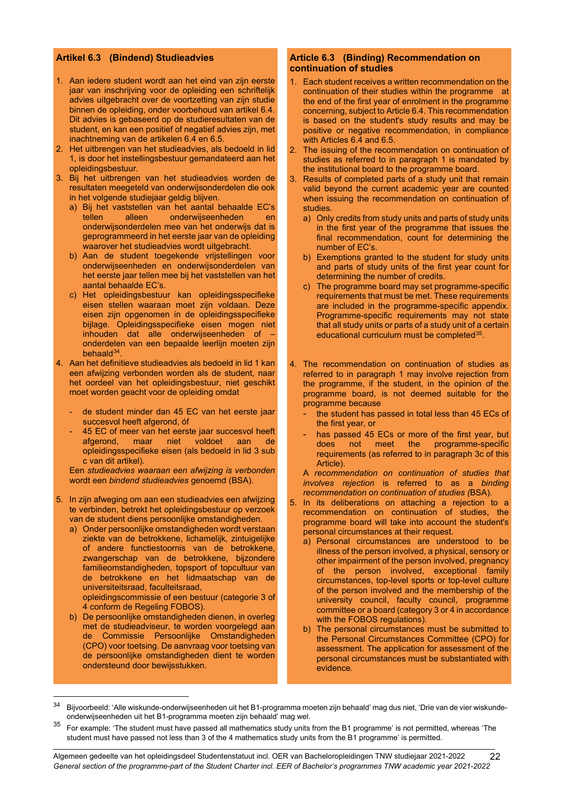### <span id="page-21-0"></span>**Artikel 6.3 (Bindend) Studieadvies**

- 1. Aan iedere student wordt aan het eind van zijn eerste jaar van inschrijving voor de opleiding een schriftelijk advies uitgebracht over de voortzetting van zijn studie binnen de opleiding, onder voorbehoud van artikel 6.4. Dit advies is gebaseerd op de studieresultaten van de student, en kan een positief of negatief advies zijn, met inachtneming van de artikelen 6.4 en 6.5.
- 2. Het uitbrengen van het studieadvies, als bedoeld in lid 1, is door het instellingsbestuur gemandateerd aan het opleidingsbestuur.
- 3. Bij het uitbrengen van het studieadvies worden de resultaten meegeteld van onderwijsonderdelen die ook in het volgende studiejaar geldig blijven.
	- a) Bij het vaststellen van het aantal behaalde EC's onderwijseenheden en onderwijsonderdelen mee van het onderwijs dat is geprogrammeerd in het eerste jaar van de opleiding waarover het studieadvies wordt uitgebracht.
	- b) Aan de student toegekende vrijstellingen voor onderwijseenheden en onderwijsonderdelen van het eerste jaar tellen mee bij het vaststellen van het aantal behaalde EC's.
	- c) Het opleidingsbestuur kan opleidingsspecifieke eisen stellen waaraan moet zijn voldaan. Deze eisen zijn opgenomen in de opleidingsspecifieke bijlage. Opleidingsspecifieke eisen mogen niet inhouden dat alle onderwijseenheden of – onderdelen van een bepaalde leerlijn moeten zijn behaald<sup>34</sup>.
- 4. Aan het definitieve studieadvies als bedoeld in lid 1 kan een afwijzing verbonden worden als de student, naar het oordeel van het opleidingsbestuur, niet geschikt moet worden geacht voor de opleiding omdat
	- de student minder dan 45 EC van het eerste jaar succesvol heeft afgerond, óf
	- 45 EC of meer van het eerste jaar succesvol heeft<br>afgerond, maar niet voldoet aan de afgerond, maar niet voldoet aan de opleidingsspecifieke eisen (als bedoeld in lid 3 sub c van dit artikel).

Een *studieadvies waaraan een afwijzing is verbonden* wordt een *bindend studieadvies* genoemd (BSA).

- 5. In zijn afweging om aan een studieadvies een afwijzing te verbinden, betrekt het opleidingsbestuur op verzoek van de student diens persoonlijke omstandigheden.
	- a) Onder persoonlijke omstandigheden wordt verstaan ziekte van de betrokkene, lichamelijk, zintuigelijke of andere functiestoornis van de betrokkene, zwangerschap van de betrokkene, bijzondere familieomstandigheden, topsport of topcultuur van de betrokkene en het lidmaatschap van de universiteitsraad, faculteitsraad, opleidingscommissie of een bestuur (categorie 3 of

4 conform de Regeling FOBOS).

b) De persoonlijke omstandigheden dienen, in overleg met de studieadviseur, te worden voorgelegd aan de Commissie Persoonlijke Omstandigheden (CPO) voor toetsing. De aanvraag voor toetsing van de persoonlijke omstandigheden dient te worden ondersteund door bewijsstukken.

#### <span id="page-21-1"></span>**Article 6.3 (Binding) Recommendation on continuation of studies**

- 1. Each student receives a written recommendation on the continuation of their studies within the programme at the end of the first year of enrolment in the programme concerning, subject to Article 6.4. This recommendation is based on the student's study results and may be positive or negative recommendation, in compliance with Articles 6.4 and 6.5.
- 2. The issuing of the recommendation on continuation of studies as referred to in paragraph 1 is mandated by the institutional board to the programme board.
- Results of completed parts of a study unit that remain valid beyond the current academic year are counted when issuing the recommendation on continuation of studies.
	- a) Only credits from study units and parts of study units in the first year of the programme that issues the final recommendation, count for determining the number of EC's.
	- b) Exemptions granted to the student for study units and parts of study units of the first year count for determining the number of credits.
	- c) The programme board may set programme-specific requirements that must be met. These requirements are included in the programme-specific appendix. Programme-specific requirements may not state that all study units or parts of a study unit of a certain educational curriculum must be completed<sup>35</sup>.
- 4. The recommendation on continuation of studies as referred to in paragraph 1 may involve rejection from the programme, if the student, in the opinion of the programme board, is not deemed suitable for the programme because
	- the student has passed in total less than 45 ECs of the first year, or
	- has passed 45 ECs or more of the first year, but does not meet the programme-specific requirements (as referred to in paragraph 3c of this Article).

A *recommendation on continuation of studies that involves rejection* is referred to as a *binding recommendation on continuation of studies (*BSA).

- 5. In its deliberations on attaching a rejection to a recommendation on continuation of studies, the programme board will take into account the student's personal circumstances at their request.
	- a) Personal circumstances are understood to be illness of the person involved, a physical, sensory or other impairment of the person involved, pregnancy of the person involved, exceptional family circumstances, top-level sports or top-level culture of the person involved and the membership of the university council, faculty council, programme committee or a board (category 3 or 4 in accordance with the FOBOS regulations).
	- b) The personal circumstances must be submitted to the Personal Circumstances Committee (CPO) for assessment. The application for assessment of the personal circumstances must be substantiated with evidence.

<span id="page-21-2"></span><sup>34</sup> Bijvoorbeeld: 'Alle wiskunde-onderwijseenheden uit het B1-programma moeten zijn behaald' mag dus niet, 'Drie van de vier wiskundeonderwijseenheden uit het B1-programma moeten zijn behaald' mag wel.

<span id="page-21-3"></span><sup>35</sup> For example: 'The student must have passed all mathematics study units from the B1 programme' is not permitted, whereas 'The student must have passed not less than 3 of the 4 mathematics study units from the B1 programme' is permitted.

Algemeen gedeelte van het opleidingsdeel Studentenstatuut incl. OER van Bacheloropleidingen TNW studiejaar 2021-2022 *General section of the programme-part of the Student Charter incl. EER of Bachelor's programmes TNW academic year 2021-2022* 22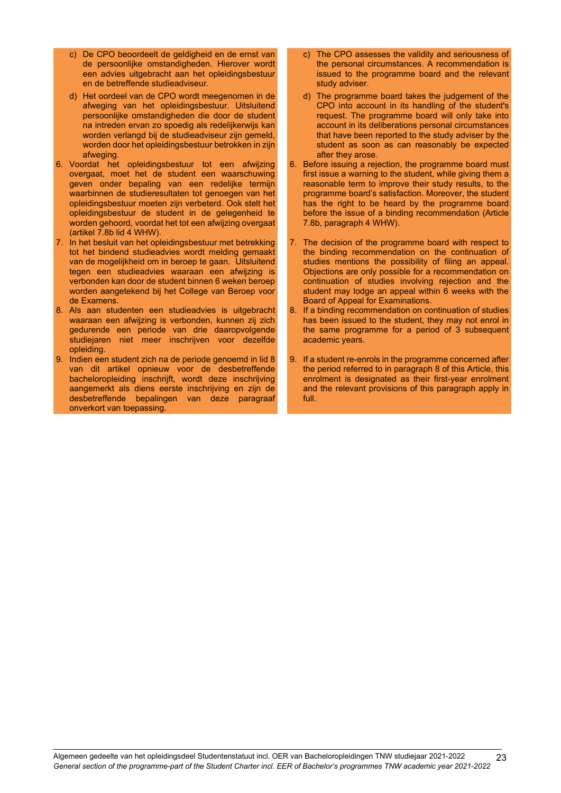- c) De CPO beoordeelt de geldigheid en de ernst van de persoonlijke omstandigheden. Hierover wordt een advies uitgebracht aan het opleidingsbestuur en de betreffende studieadviseur.
- d) Het oordeel van de CPO wordt meegenomen in de afweging van het opleidingsbestuur. Uitsluitend persoonlijke omstandigheden die door de student na intreden ervan zo spoedig als redelijkerwijs kan worden verlangd bij de studieadviseur zijn gemeld, worden door het opleidingsbestuur betrokken in zijn afweging.
- 6. Voordat het opleidingsbestuur tot een afwijzing overgaat, moet het de student een waarschuwing geven onder bepaling van een redelijke termijn waarbinnen de studieresultaten tot genoegen van het opleidingsbestuur moeten zijn verbeterd. Ook stelt het opleidingsbestuur de student in de gelegenheid te worden gehoord, voordat het tot een afwijzing overgaat (artikel 7.8b lid 4 WHW).
- 7. In het besluit van het opleidingsbestuur met betrekking tot het bindend studieadvies wordt melding gemaakt van de mogelijkheid om in beroep te gaan. Uitsluitend tegen een studieadvies waaraan een afwijzing is verbonden kan door de student binnen 6 weken beroep worden aangetekend bij het College van Beroep voor de Examens.
- 8. Als aan studenten een studieadvies is uitgebracht waaraan een afwijzing is verbonden, kunnen zij zich gedurende een periode van drie daaropvolgende studiejaren niet meer inschrijven voor dezelfde opleiding.
- 9. Indien een student zich na de periode genoemd in lid 8 van dit artikel opnieuw voor de desbetreffende bacheloropleiding inschrijft, wordt deze inschrijving aangemerkt als diens eerste inschrijving en zijn de desbetreffende bepalingen van deze paragraaf onverkort van toepassing.
- c) The CPO assesses the validity and seriousness of the personal circumstances. A recommendation is issued to the programme board and the relevant study adviser.
- d) The programme board takes the judgement of the CPO into account in its handling of the student's request. The programme board will only take into account in its deliberations personal circumstances that have been reported to the study adviser by the student as soon as can reasonably be expected after they arose.
- 6. Before issuing a rejection, the programme board must first issue a warning to the student, while giving them a reasonable term to improve their study results, to the programme board's satisfaction. Moreover, the student has the right to be heard by the programme board before the issue of a binding recommendation (Article 7.8b, paragraph 4 WHW).
- 7. The decision of the programme board with respect to the binding recommendation on the continuation of studies mentions the possibility of filing an appeal. Objections are only possible for a recommendation on continuation of studies involving rejection and the student may lodge an appeal within 6 weeks with the Board of Appeal for Examinations.
- 8. If a binding recommendation on continuation of studies has been issued to the student, they may not enrol in the same programme for a period of 3 subsequent academic years.
- 9. If a student re-enrols in the programme concerned after the period referred to in paragraph 8 of this Article, this enrolment is designated as their first-year enrolment and the relevant provisions of this paragraph apply in full.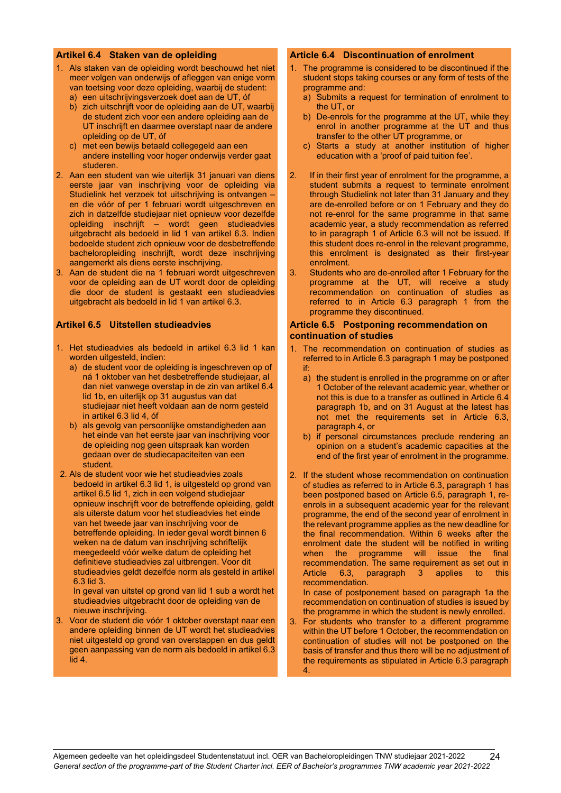#### <span id="page-23-0"></span>**Artikel 6.4 Staken van de opleiding**

- 1. Als staken van de opleiding wordt beschouwd het niet meer volgen van onderwijs of afleggen van enige vorm van toetsing voor deze opleiding, waarbij de student:
	- a) een uitschrijvingsverzoek doet aan de UT, óf
	- b) zich uitschrijft voor de opleiding aan de UT, waarbij de student zich voor een andere opleiding aan de UT inschrijft en daarmee overstapt naar de andere opleiding op de UT, óf
	- c) met een bewijs betaald collegegeld aan een andere instelling voor hoger onderwijs verder gaat studeren.
- 2. Aan een student van wie uiterlijk 31 januari van diens eerste jaar van inschrijving voor de opleiding via Studielink het verzoek tot uitschrijving is ontvangen – en die vóór of per 1 februari wordt uitgeschreven en zich in datzelfde studiejaar niet opnieuw voor dezelfde opleiding inschrijft – wordt geen studieadvies uitgebracht als bedoeld in lid 1 van artikel 6.3. Indien bedoelde student zich opnieuw voor de desbetreffende bacheloropleiding inschrijft, wordt deze inschrijving aangemerkt als diens eerste inschrijving.
- 3. Aan de student die na 1 februari wordt uitgeschreven voor de opleiding aan de UT wordt door de opleiding die door de student is gestaakt een studieadvies uitgebracht als bedoeld in lid 1 van artikel 6.3.

#### <span id="page-23-1"></span>**Artikel 6.5 Uitstellen studieadvies**

- 1. Het studieadvies als bedoeld in artikel 6.3 lid 1 kan worden uitgesteld, indien:
	- a) de student voor de opleiding is ingeschreven op of ná 1 oktober van het desbetreffende studiejaar, al dan niet vanwege overstap in de zin van artikel 6.4 lid 1b, en uiterlijk op 31 augustus van dat studiejaar niet heeft voldaan aan de norm gesteld in artikel 6.3 lid 4, óf
	- b) als gevolg van persoonlijke omstandigheden aan het einde van het eerste jaar van inschrijving voor de opleiding nog geen uitspraak kan worden gedaan over de studiecapaciteiten van een student.
- 2. Als de student voor wie het studieadvies zoals bedoeld in artikel 6.3 lid 1, is uitgesteld op grond van artikel 6.5 lid 1, zich in een volgend studiejaar opnieuw inschrijft voor de betreffende opleiding, geldt als uiterste datum voor het studieadvies het einde van het tweede jaar van inschrijving voor de betreffende opleiding. In ieder geval wordt binnen 6 weken na de datum van inschrijving schriftelijk meegedeeld vóór welke datum de opleiding het definitieve studieadvies zal uitbrengen. Voor dit studieadvies geldt dezelfde norm als gesteld in artikel 6.3 lid 3.

In geval van uitstel op grond van lid 1 sub a wordt het studieadvies uitgebracht door de opleiding van de nieuwe inschrijving.

<span id="page-23-4"></span>3. Voor de student die vóór 1 oktober overstapt naar een andere opleiding binnen de UT wordt het studieadvies niet uitgesteld op grond van overstappen en dus geldt geen aanpassing van de norm als bedoeld in artikel 6.3 lid 4.

#### <span id="page-23-2"></span>**Article 6.4 Discontinuation of enrolment**

- 1. The programme is considered to be discontinued if the student stops taking courses or any form of tests of the programme and:
	- a) Submits a request for termination of enrolment to the UT, or
	- b) De-enrols for the programme at the UT, while they enrol in another programme at the UT and thus transfer to the other UT programme, or
	- c) Starts a study at another institution of higher education with a 'proof of paid tuition fee'.
- 2. If in their first year of enrolment for the programme, a student submits a request to terminate enrolment through Studielink not later than 31 January and they are de-enrolled before or on 1 February and they do not re-enrol for the same programme in that same academic year, a study recommendation as referred to in paragraph 1 of Article 6.3 will not be issued. If this student does re-enrol in the relevant programme, this enrolment is designated as their first-year enrolment.
- 3. Students who are de-enrolled after 1 February for the programme at the UT, will receive a study recommendation on continuation of studies as referred to in Article 6.3 paragraph 1 from the programme they discontinued.

#### <span id="page-23-3"></span>**Article 6.5 Postponing recommendation on continuation of studies**

- 1. The recommendation on continuation of studies as referred to in Article 6.3 paragraph 1 may be postponed if:
	- a) the student is enrolled in the programme on or after 1 October of the relevant academic year, whether or not this is due to a transfer as outlined in Article 6.4 paragraph 1b, and on 31 August at the latest has not met the requirements set in Article 6.3, paragraph 4, or
	- b) if personal circumstances preclude rendering an opinion on a student's academic capacities at the end of the first year of enrolment in the programme.
- 2. If the student whose recommendation on continuation of studies as referred to in Article 6.3, paragraph 1 has been postponed based on Article 6.5, paragraph 1, reenrols in a subsequent academic year for the relevant programme, the end of the second year of enrolment in the relevant programme applies as the new deadline for the final recommendation. Within 6 weeks after the enrolment date the student will be notified in writing when the programme will issue the final recommendation. The same requirement as set out in Article 6.3, paragraph 3 applies to this recommendation.

In case of postponement based on paragraph 1a the recommendation on continuation of studies is issued by the programme in which the student is newly enrolled.

For students who transfer to a different programme within the UT before 1 October, the recommendation on continuation of studies will not be postponed on the basis of transfer and thus there will be no adjustment of the requirements as stipulated in Article 6.3 paragraph 4.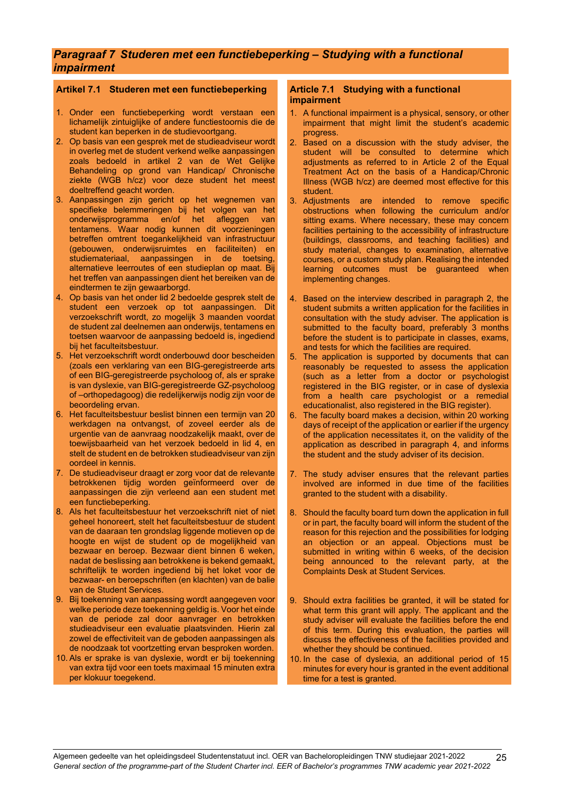## *Paragraaf 7 Studeren met een functiebeperking – Studying with a functional impairment*

## <span id="page-24-0"></span>**Artikel 7.1 Studeren met een functiebeperking**

- 1. Onder een functiebeperking wordt verstaan een lichamelijk zintuiglijke of andere functiestoornis die de student kan beperken in de studievoortgang.
- 2. Op basis van een gesprek met de studieadviseur wordt in overleg met de student verkend welke aanpassingen zoals bedoeld in artikel 2 van de Wet Gelijke Behandeling op grond van Handicap/ Chronische ziekte (WGB h/cz) voor deze student het meest doeltreffend geacht worden.
- 3. Aanpassingen zijn gericht op het wegnemen van specifieke belemmeringen bij het volgen van het onderwijsprogramma en/of het afleggen van tentamens. Waar nodig kunnen dit voorzieningen betreffen omtrent toegankelijkheid van infrastructuur (gebouwen, onderwijsruimtes en faciliteiten) en studiemateriaal, aanpassingen in de toetsing, alternatieve leerroutes of een studieplan op maat. Bij het treffen van aanpassingen dient het bereiken van de eindtermen te zijn gewaarborgd.
- 4. Op basis van het onder lid 2 bedoelde gesprek stelt de student een verzoek op tot aanpassingen. Dit verzoekschrift wordt, zo mogelijk 3 maanden voordat de student zal deelnemen aan onderwijs, tentamens en toetsen waarvoor de aanpassing bedoeld is, ingediend bij het faculteitsbestuur.
- 5. Het verzoekschrift wordt onderbouwd door bescheiden (zoals een verklaring van een BIG-geregistreerde arts of een BIG-geregistreerde psycholoog of, als er sprake is van dyslexie, van BIG-geregistreerde GZ-psycholoog of –orthopedagoog) die redelijkerwijs nodig zijn voor de beoordeling ervan.
- 6. Het faculteitsbestuur beslist binnen een termijn van 20 werkdagen na ontvangst, of zoveel eerder als de urgentie van de aanvraag noodzakelijk maakt, over de toewijsbaarheid van het verzoek bedoeld in lid 4, en stelt de student en de betrokken studieadviseur van zijn oordeel in kennis.
- 7. De studieadviseur draagt er zorg voor dat de relevante betrokkenen tijdig worden geïnformeerd over de aanpassingen die zijn verleend aan een student met een functiebeperking.
- 8. Als het faculteitsbestuur het verzoekschrift niet of niet geheel honoreert, stelt het faculteitsbestuur de student van de daaraan ten grondslag liggende motieven op de hoogte en wijst de student op de mogelijkheid van bezwaar en beroep. Bezwaar dient binnen 6 weken, nadat de beslissing aan betrokkene is bekend gemaakt, schriftelijk te worden ingediend bij het loket voor de bezwaar- en beroepschriften (en klachten) van de balie van de Student Services.
- 9. Bij toekenning van aanpassing wordt aangegeven voor welke periode deze toekenning geldig is. Voor het einde van de periode zal door aanvrager en betrokken studieadviseur een evaluatie plaatsvinden. Hierin zal zowel de effectiviteit van de geboden aanpassingen als de noodzaak tot voortzetting ervan besproken worden.
- 10. Als er sprake is van dyslexie, wordt er bij toekenning van extra tijd voor een toets maximaal 15 minuten extra per klokuur toegekend.

#### <span id="page-24-1"></span>**Article 7.1 Studying with a functional impairment**

- 1. A functional impairment is a physical, sensory, or other impairment that might limit the student's academic progress.
- Based on a discussion with the study adviser, the student will be consulted to determine which adjustments as referred to in Article 2 of the Equal Treatment Act on the basis of a Handicap/Chronic Illness (WGB h/cz) are deemed most effective for this student.
- 3. Adjustments are intended to remove specific obstructions when following the curriculum and/or sitting exams. Where necessary, these may concern facilities pertaining to the accessibility of infrastructure (buildings, classrooms, and teaching facilities) and study material, changes to examination, alternative courses, or a custom study plan. Realising the intended learning outcomes must be guaranteed when implementing changes.
- 4. Based on the interview described in paragraph 2, the student submits a written application for the facilities in consultation with the study adviser. The application is submitted to the faculty board, preferably 3 months before the student is to participate in classes, exams, and tests for which the facilities are required.
- 5. The application is supported by documents that can reasonably be requested to assess the application (such as a letter from a doctor or psychologist registered in the BIG register, or in case of dyslexia from a health care psychologist or a remedial educationalist, also registered in the BIG register).
- 6. The faculty board makes a decision, within 20 working days of receipt of the application or earlier if the urgency of the application necessitates it, on the validity of the application as described in paragraph 4, and informs the student and the study adviser of its decision.
- 7. The study adviser ensures that the relevant parties involved are informed in due time of the facilities granted to the student with a disability.
- 8. Should the faculty board turn down the application in full or in part, the faculty board will inform the student of the reason for this rejection and the possibilities for lodging an objection or an appeal. Objections must be submitted in writing within 6 weeks, of the decision being announced to the relevant party, at the Complaints Desk at Student Services.
- 9. Should extra facilities be granted, it will be stated for what term this grant will apply. The applicant and the study adviser will evaluate the facilities before the end of this term. During this evaluation, the parties will discuss the effectiveness of the facilities provided and whether they should be continued.
- 10. In the case of dyslexia, an additional period of 15 minutes for every hour is granted in the event additional time for a test is granted.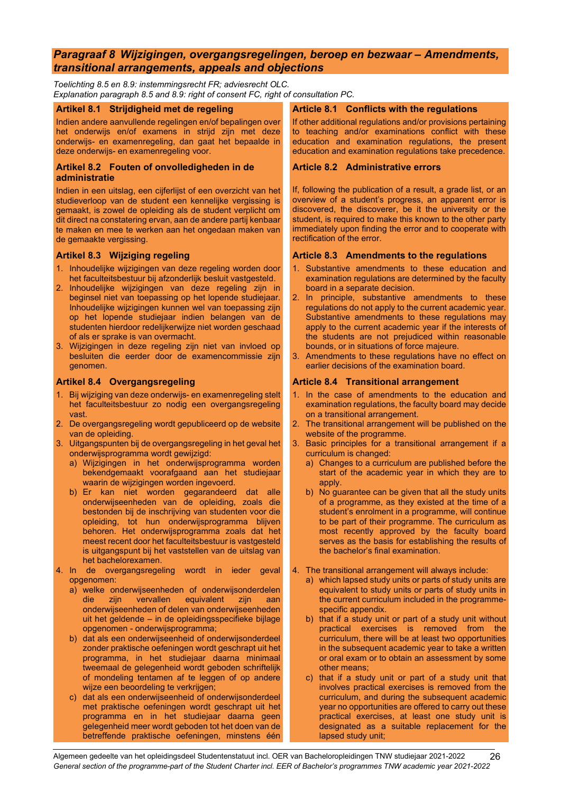## <span id="page-25-0"></span>*Paragraaf 8 Wijzigingen, overgangsregelingen, beroep en bezwaar – Amendments, transitional arrangements, appeals and objections*

*Toelichting 8.5 en 8.9: instemmingsrecht FR; adviesrecht OLC. Explanation paragraph 8.5 and 8.9: right of consent FC, right of consultation PC.*

#### <span id="page-25-1"></span>**Artikel 8.1 Strijdigheid met de regeling**

Indien andere aanvullende regelingen en/of bepalingen over het onderwijs en/of examens in strijd zijn met deze onderwijs- en examenregeling, dan gaat het bepaalde in deze onderwijs- en examenregeling voor.

#### <span id="page-25-3"></span>**Artikel 8.2 Fouten of onvolledigheden in de administratie**

Indien in een uitslag, een cijferlijst of een overzicht van het studieverloop van de student een kennelijke vergissing is gemaakt, is zowel de opleiding als de student verplicht om dit direct na constatering ervan, aan de andere partij kenbaar te maken en mee te werken aan het ongedaan maken van de gemaakte vergissing.

#### <span id="page-25-5"></span>**Artikel 8.3 Wijziging regeling**

- 1. Inhoudelijke wijzigingen van deze regeling worden door het faculteitsbestuur bij afzonderlijk besluit vastgesteld.
- 2. Inhoudelijke wijzigingen van deze regeling zijn in beginsel niet van toepassing op het lopende studiejaar. Inhoudelijke wijzigingen kunnen wel van toepassing zijn op het lopende studiejaar indien belangen van de studenten hierdoor redelijkerwijze niet worden geschaad of als er sprake is van overmacht.
- 3. Wijzigingen in deze regeling zijn niet van invloed op besluiten die eerder door de examencommissie zijn genomen.

#### <span id="page-25-7"></span>**Artikel 8.4 Overgangsregeling**

- 1. Bij wijziging van deze onderwijs- en examenregeling stelt het faculteitsbestuur zo nodig een overgangsregeling vast.
- 2. De overgangsregeling wordt gepubliceerd op de website van de opleiding.
- 3. Uitgangspunten bij de overgangsregeling in het geval het onderwijsprogramma wordt gewijzigd:
	- a) Wijzigingen in het onderwijsprogramma worden bekendgemaakt voorafgaand aan het studiejaar waarin de wijzigingen worden ingevoerd.
	- b) Er kan niet worden gegarandeerd dat alle onderwijseenheden van de opleiding, zoals die bestonden bij de inschrijving van studenten voor die opleiding, tot hun onderwijsprogramma blijven behoren. Het onderwijsprogramma zoals dat het meest recent door het faculteitsbestuur is vastgesteld is uitgangspunt bij het vaststellen van de uitslag van het bachelorexamen.
- 4. In de overgangsregeling wordt in ieder geval opgenomen:
	- a) welke onderwijseenheden of onderwijsonderdelen die zijn vervallen equivalent zijn aan onderwijseenheden of delen van onderwijseenheden uit het geldende – in de opleidingsspecifieke bijlage opgenomen - onderwijsprogramma;
	- b) dat als een onderwijseenheid of onderwijsonderdeel zonder praktische oefeningen wordt geschrapt uit het programma, in het studiejaar daarna minimaal tweemaal de gelegenheid wordt geboden schriftelijk of mondeling tentamen af te leggen of op andere wijze een beoordeling te verkrijgen;
	- c) dat als een onderwijseenheid of onderwijsonderdeel met praktische oefeningen wordt geschrapt uit het programma en in het studiejaar daarna geen gelegenheid meer wordt geboden tot het doen van de betreffende praktische oefeningen, minstens één

#### <span id="page-25-2"></span>**Article 8.1 Conflicts with the regulations**

If other additional regulations and/or provisions pertaining to teaching and/or examinations conflict with these education and examination regulations, the present education and examination regulations take precedence.

#### <span id="page-25-4"></span>**Article 8.2 Administrative errors**

If, following the publication of a result, a grade list, or an overview of a student's progress, an apparent error is discovered, the discoverer, be it the university or the student, is required to make this known to the other party immediately upon finding the error and to cooperate with rectification of the error.

#### <span id="page-25-6"></span>**Article 8.3 Amendments to the regulations**

- 1. Substantive amendments to these education and examination regulations are determined by the faculty board in a separate decision.
- 2. In principle, substantive amendments to these regulations do not apply to the current academic year. Substantive amendments to these regulations may apply to the current academic year if the interests of the students are not prejudiced within reasonable bounds, or in situations of force majeure.
- 3. Amendments to these regulations have no effect on earlier decisions of the examination board.

#### <span id="page-25-8"></span>**Article 8.4 Transitional arrangement**

- 1. In the case of amendments to the education and examination regulations, the faculty board may decide on a transitional arrangement.
- 2. The transitional arrangement will be published on the website of the programme.
- 3. Basic principles for a transitional arrangement if a curriculum is changed:
	- a) Changes to a curriculum are published before the start of the academic year in which they are to apply.
	- b) No guarantee can be given that all the study units of a programme, as they existed at the time of a student's enrolment in a programme, will continue to be part of their programme. The curriculum as most recently approved by the faculty board serves as the basis for establishing the results of the bachelor's final examination.
- 4. The transitional arrangement will always include:
	- a) which lapsed study units or parts of study units are equivalent to study units or parts of study units in the current curriculum included in the programmespecific appendix.
	- b) that if a study unit or part of a study unit without practical exercises is removed from the curriculum, there will be at least two opportunities in the subsequent academic year to take a written or oral exam or to obtain an assessment by some other means;
	- c) that if a study unit or part of a study unit that involves practical exercises is removed from the curriculum, and during the subsequent academic year no opportunities are offered to carry out these practical exercises, at least one study unit is designated as a suitable replacement for the lapsed study unit;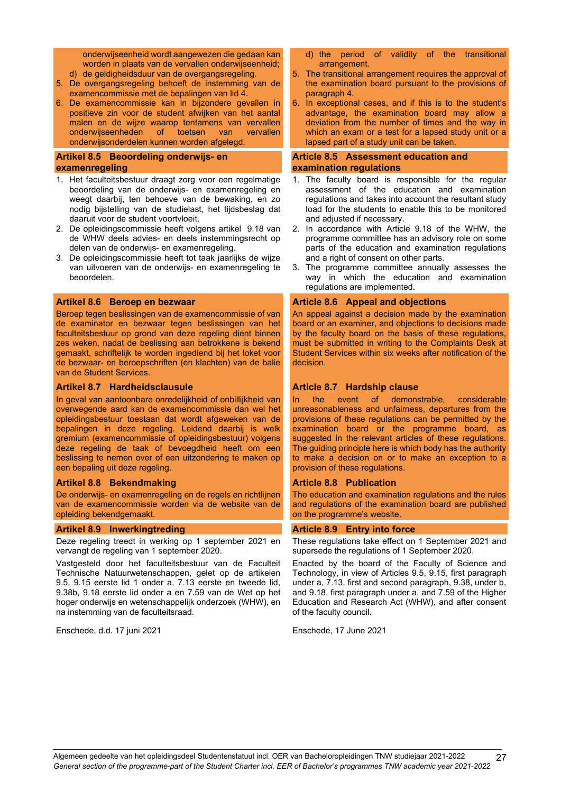onderwijseenheid wordt aangewezen die gedaan kan worden in plaats van de vervallen onderwijseenheid;

- d) de geldigheidsduur van de overgangsregeling.
- 5. De overgangsregeling behoeft de instemming van de examencommissie met de bepalingen van lid 4.
- 6. De examencommissie kan in bijzondere gevallen in positieve zin voor de student afwijken van het aantal malen en de wijze waarop tentamens van vervallen<br>onderwijseenheden of toetsen van vervallen onderwijseenheden onderwijsonderdelen kunnen worden afgelegd.

#### <span id="page-26-0"></span>**Artikel 8.5 Beoordeling onderwijs- en examenregeling**

- 1. Het faculteitsbestuur draagt zorg voor een regelmatige beoordeling van de onderwijs- en examenregeling en weegt daarbij, ten behoeve van de bewaking, en zo nodig bijstelling van de studielast, het tijdsbeslag dat daaruit voor de student voortvloeit.
- 2. De opleidingscommissie heeft volgens artikel 9.18 van de WHW deels advies- en deels instemmingsrecht op delen van de onderwijs- en examenregeling.
- 3. De opleidingscommissie heeft tot taak jaarlijks de wijze van uitvoeren van de onderwijs- en examenregeling te beoordelen.

#### <span id="page-26-2"></span>**Artikel 8.6 Beroep en bezwaar**

Beroep tegen beslissingen van de examencommissie of van de examinator en bezwaar tegen beslissingen van het faculteitsbestuur op grond van deze regeling dient binnen zes weken, nadat de beslissing aan betrokkene is bekend gemaakt, schriftelijk te worden ingediend bij het loket voor de bezwaar- en beroepschriften (en klachten) van de balie van de Student Services.

#### <span id="page-26-4"></span>**Artikel 8.7 Hardheidsclausule**

In geval van aantoonbare onredelijkheid of onbillijkheid van overwegende aard kan de examencommissie dan wel het opleidingsbestuur toestaan dat wordt afgeweken van de bepalingen in deze regeling. Leidend daarbij is welk gremium (examencommissie of opleidingsbestuur) volgens deze regeling de taak of bevoegdheid heeft om een beslissing te nemen over of een uitzondering te maken op een bepaling uit deze regeling.

#### <span id="page-26-6"></span>**Artikel 8.8 Bekendmaking**

De onderwijs- en examenregeling en de regels en richtlijnen van de examencommissie worden via de website van de opleiding bekendgemaakt.

#### <span id="page-26-8"></span>**Artikel 8.9 Inwerkingtreding**

Deze regeling treedt in werking op 1 september 2021 en vervangt de regeling van 1 september 2020.

Vastgesteld door het faculteitsbestuur van de Faculteit Technische Natuurwetenschappen, gelet op de artikelen 9.5, 9.15 eerste lid 1 onder a, 7.13 eerste en tweede lid, 9.38b, 9.18 eerste lid onder a en 7.59 van de Wet op het hoger onderwijs en wetenschappelijk onderzoek (WHW), en na instemming van de faculteitsraad.

Enschede, d.d. 17 juni 2021

- d) the period of validity of the transitional arrangement.
- 5. The transitional arrangement requires the approval of the examination board pursuant to the provisions of paragraph 4.
- 6. In exceptional cases, and if this is to the student's advantage, the examination board may allow a deviation from the number of times and the way in which an exam or a test for a lapsed study unit or a lapsed part of a study unit can be taken.

#### <span id="page-26-1"></span>**Article 8.5 Assessment education and examination regulations**

- 1. The faculty board is responsible for the regular assessment of the education and examination regulations and takes into account the resultant study load for the students to enable this to be monitored and adjusted if necessary.
- 2. In accordance with Article 9.18 of the WHW, the programme committee has an advisory role on some parts of the education and examination regulations and a right of consent on other parts.
- 3. The programme committee annually assesses the way in which the education and examination regulations are implemented.

#### <span id="page-26-3"></span>**Article 8.6 Appeal and objections**

An appeal against a decision made by the examination board or an examiner, and objections to decisions made by the faculty board on the basis of these regulations, must be submitted in writing to the Complaints Desk at Student Services within six weeks after notification of the decision.

#### <span id="page-26-5"></span>**Article 8.7 Hardship clause**

In the event of demonstrable, considerable unreasonableness and unfairness, departures from the provisions of these regulations can be permitted by the examination board or the programme board, as suggested in the relevant articles of these regulations. The guiding principle here is which body has the authority to make a decision on or to make an exception to a provision of these regulations.

#### <span id="page-26-7"></span>**Article 8.8 Publication**

The education and examination regulations and the rules and regulations of the examination board are published on the programme's website.

#### <span id="page-26-9"></span>**Article 8.9 Entry into force**

These regulations take effect on 1 September 2021 and supersede the regulations of 1 September 2020.

Enacted by the board of the Faculty of Science and Technology, in view of Articles 9.5, 9.15, first paragraph under a, 7.13, first and second paragraph, 9.38, under b, and 9.18, first paragraph under a, and 7.59 of the Higher Education and Research Act (WHW), and after consent of the faculty council.

Enschede, 17 June 2021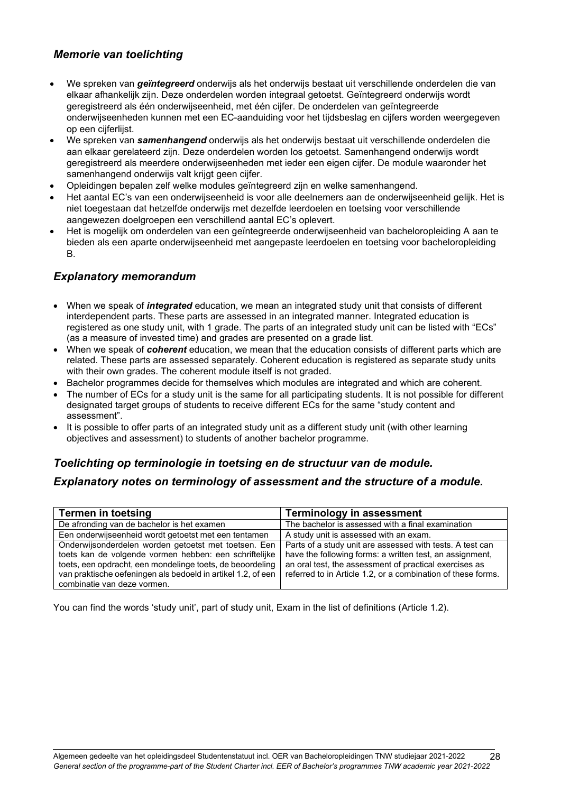## <span id="page-27-0"></span>*Memorie van toelichting*

- We spreken van *geïntegreerd* onderwijs als het onderwijs bestaat uit verschillende onderdelen die van elkaar afhankelijk zijn. Deze onderdelen worden integraal getoetst. Geïntegreerd onderwijs wordt geregistreerd als één onderwijseenheid, met één cijfer. De onderdelen van geïntegreerde onderwijseenheden kunnen met een EC-aanduiding voor het tijdsbeslag en cijfers worden weergegeven op een cijferlijst.
- We spreken van *samenhangend* onderwijs als het onderwijs bestaat uit verschillende onderdelen die aan elkaar gerelateerd zijn. Deze onderdelen worden los getoetst. Samenhangend onderwijs wordt geregistreerd als meerdere onderwijseenheden met ieder een eigen cijfer. De module waaronder het samenhangend onderwijs valt krijgt geen cijfer.
- Opleidingen bepalen zelf welke modules geïntegreerd zijn en welke samenhangend.
- Het aantal EC's van een onderwijseenheid is voor alle deelnemers aan de onderwijseenheid gelijk. Het is niet toegestaan dat hetzelfde onderwijs met dezelfde leerdoelen en toetsing voor verschillende aangewezen doelgroepen een verschillend aantal EC's oplevert.
- Het is mogelijk om onderdelen van een geïntegreerde onderwijseenheid van bacheloropleiding A aan te bieden als een aparte onderwijseenheid met aangepaste leerdoelen en toetsing voor bacheloropleiding B.

## <span id="page-27-1"></span>*Explanatory memorandum*

- When we speak of *integrated* education, we mean an integrated study unit that consists of different interdependent parts. These parts are assessed in an integrated manner. Integrated education is registered as one study unit, with 1 grade. The parts of an integrated study unit can be listed with "ECs" (as a measure of invested time) and grades are presented on a grade list.
- When we speak of *coherent* education, we mean that the education consists of different parts which are related. These parts are assessed separately. Coherent education is registered as separate study units with their own grades. The coherent module itself is not graded.
- Bachelor programmes decide for themselves which modules are integrated and which are coherent.
- The number of ECs for a study unit is the same for all participating students. It is not possible for different designated target groups of students to receive different ECs for the same "study content and assessment".
- It is possible to offer parts of an integrated study unit as a different study unit (with other learning objectives and assessment) to students of another bachelor programme.

## <span id="page-27-2"></span>*Toelichting op terminologie in toetsing en de structuur van de module.*

## <span id="page-27-3"></span>*Explanatory notes on terminology of assessment and the structure of a module.*

| <b>Termen in toetsing</b>                                                                                                                                | <b>Terminology in assessment</b>                                                                                       |  |
|----------------------------------------------------------------------------------------------------------------------------------------------------------|------------------------------------------------------------------------------------------------------------------------|--|
| De afronding van de bachelor is het examen                                                                                                               | The bachelor is assessed with a final examination                                                                      |  |
| Een onderwijseenheid wordt getoetst met een tentamen                                                                                                     | A study unit is assessed with an exam.                                                                                 |  |
| Onderwijsonderdelen worden getoetst met toetsen. Een<br>toets kan de volgende vormen hebben: een schriftelijke                                           | Parts of a study unit are assessed with tests. A test can<br>have the following forms: a written test, an assignment,  |  |
| toets, een opdracht, een mondelinge toets, de beoordeling<br>van praktische oefeningen als bedoeld in artikel 1.2, of een<br>combinatie van deze vormen. | an oral test, the assessment of practical exercises as<br>referred to in Article 1.2, or a combination of these forms. |  |

You can find the words 'study unit', part of study unit, Exam in the list of definitions (Article 1.2).